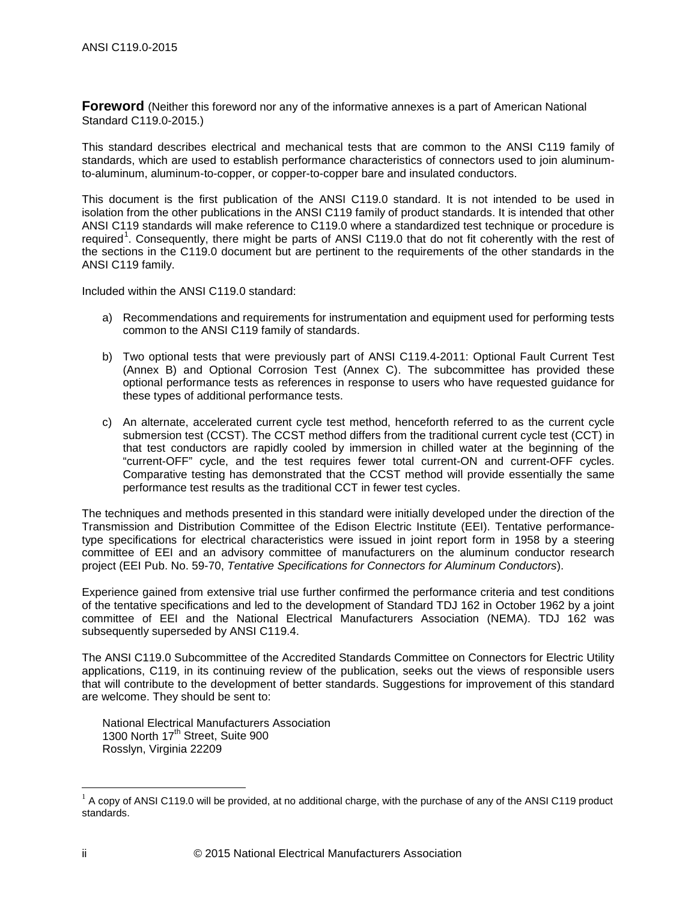<span id="page-3-1"></span>**Foreword** (Neither this foreword nor any of the informative annexes is a part of American National Standard C119.0-2015.)

This standard describes electrical and mechanical tests that are common to the ANSI C119 family of standards, which are used to establish performance characteristics of connectors used to join aluminumto-aluminum, aluminum-to-copper, or copper-to-copper bare and insulated conductors.

This document is the first publication of the ANSI C119.0 standard. It is not intended to be used in isolation from the other publications in the ANSI C119 family of product standards. It is intended that other ANSI C119 standards will make reference to C119.0 where a standardized test technique or procedure is required<sup>[1](#page-3-0)</sup>. Consequently, there might be parts of ANSI C119.0 that do not fit coherently with the rest of the sections in the C119.0 document but are pertinent to the requirements of the other standards in the ANSI C119 family.

Included within the ANSI C119.0 standard:

- a) Recommendations and requirements for instrumentation and equipment used for performing tests common to the ANSI C119 family of standards.
- b) Two optional tests that were previously part of ANSI C119.4-2011: Optional Fault Current Test (Annex B) and Optional Corrosion Test (Annex C). The subcommittee has provided these optional performance tests as references in response to users who have requested guidance for these types of additional performance tests.
- c) An alternate, accelerated current cycle test method, henceforth referred to as the current cycle submersion test (CCST). The CCST method differs from the traditional current cycle test (CCT) in that test conductors are rapidly cooled by immersion in chilled water at the beginning of the "current-OFF" cycle, and the test requires fewer total current-ON and current-OFF cycles. Comparative testing has demonstrated that the CCST method will provide essentially the same performance test results as the traditional CCT in fewer test cycles.

The techniques and methods presented in this standard were initially developed under the direction of the Transmission and Distribution Committee of the Edison Electric Institute (EEI). Tentative performancetype specifications for electrical characteristics were issued in joint report form in 1958 by a steering committee of EEI and an advisory committee of manufacturers on the aluminum conductor research project (EEI Pub. No. 59-70, *Tentative Specifications for Connectors for Aluminum Conductors*).

Experience gained from extensive trial use further confirmed the performance criteria and test conditions of the tentative specifications and led to the development of Standard TDJ 162 in October 1962 by a joint committee of EEI and the National Electrical Manufacturers Association (NEMA). TDJ 162 was subsequently superseded by ANSI C119.4.

The ANSI C119.0 Subcommittee of the Accredited Standards Committee on Connectors for Electric Utility applications, C119, in its continuing review of the publication, seeks out the views of responsible users that will contribute to the development of better standards. Suggestions for improvement of this standard are welcome. They should be sent to:

National Electrical Manufacturers Association 1300 North  $17<sup>th</sup>$  Street, Suite 900 Rosslyn, Virginia 22209

<span id="page-3-0"></span> $1$  A copy of ANSI C119.0 will be provided, at no additional charge, with the purchase of any of the ANSI C119 product standards.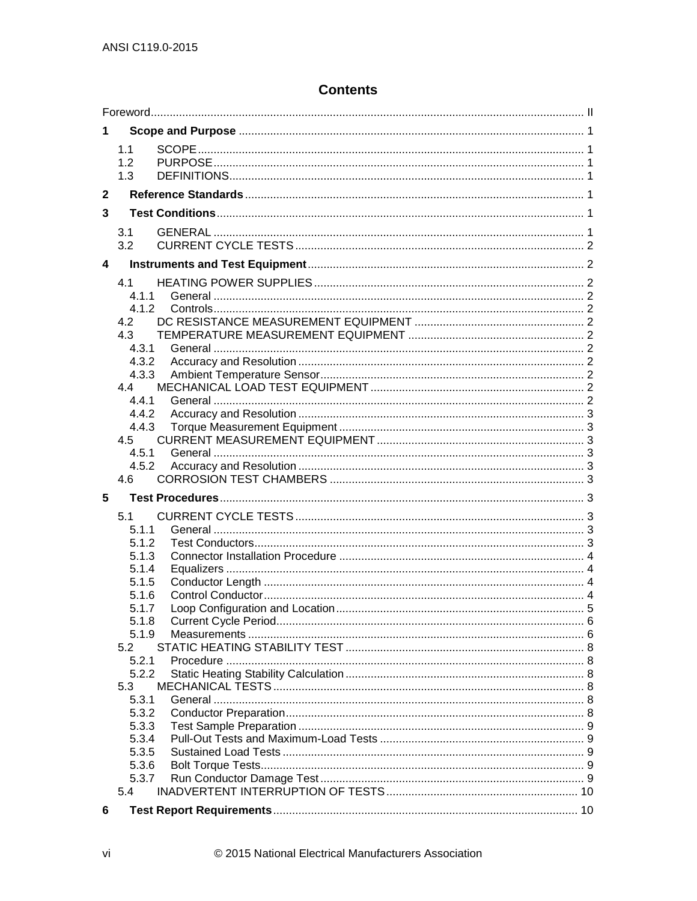# **Contents**

| 1                       |                   |  |
|-------------------------|-------------------|--|
|                         | 1.1<br>1.2<br>1.3 |  |
| $\mathbf{2}$            |                   |  |
| 3                       |                   |  |
|                         | 3.1               |  |
|                         | 3.2               |  |
| $\overline{\mathbf{4}}$ |                   |  |
|                         | 4.1               |  |
|                         | 4.1.1             |  |
|                         | 4.1.2             |  |
|                         | 4.2               |  |
|                         | 4.3               |  |
|                         | 4.3.1             |  |
|                         | 4.3.2             |  |
|                         | 4.3.3<br>4.4      |  |
|                         | 4.4.1             |  |
|                         | 4.4.2             |  |
|                         | 4.4.3             |  |
|                         | 4.5               |  |
|                         | 4.5.1             |  |
|                         | 4.5.2             |  |
|                         | 4.6               |  |
| 5                       |                   |  |
|                         | 5.1               |  |
|                         | 5.1.1             |  |
|                         | 5.1.2             |  |
|                         | 5.1.3             |  |
|                         | 5.1.4             |  |
|                         | 5.1.5             |  |
|                         | 5.1.6             |  |
|                         | 5.1.7             |  |
|                         | 5.1.8             |  |
|                         | 5.1.9             |  |
|                         | 5.2               |  |
|                         | 5.2.1             |  |
|                         | 5.2.2             |  |
|                         | 5.3<br>5.3.1      |  |
|                         | 5.3.2             |  |
|                         | 5.3.3             |  |
|                         | 5.3.4             |  |
|                         | 5.3.5             |  |
|                         | 5.3.6             |  |
|                         | 5.3.7             |  |
|                         | 5.4               |  |
| 6                       |                   |  |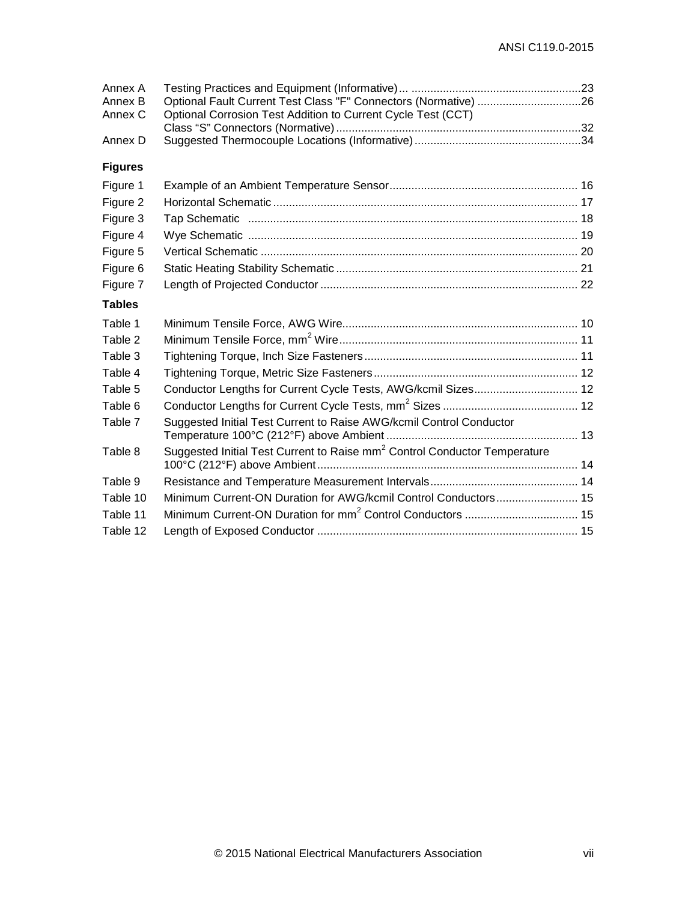| Annex A<br>Annex B<br>Annex C | Optional Fault Current Test Class "F" Connectors (Normative) 26<br>Optional Corrosion Test Addition to Current Cycle Test (CCT) |  |
|-------------------------------|---------------------------------------------------------------------------------------------------------------------------------|--|
| Annex D                       |                                                                                                                                 |  |
| <b>Figures</b>                |                                                                                                                                 |  |
| Figure 1                      |                                                                                                                                 |  |
| Figure 2                      |                                                                                                                                 |  |
| Figure 3                      |                                                                                                                                 |  |
| Figure 4                      |                                                                                                                                 |  |
| Figure 5                      |                                                                                                                                 |  |
| Figure 6                      |                                                                                                                                 |  |
| Figure 7                      |                                                                                                                                 |  |
| <b>Tables</b>                 |                                                                                                                                 |  |
| Table 1                       |                                                                                                                                 |  |
| Table 2                       |                                                                                                                                 |  |
| Table 3                       |                                                                                                                                 |  |
| Table 4                       |                                                                                                                                 |  |
| Table 5                       | Conductor Lengths for Current Cycle Tests, AWG/kcmil Sizes 12                                                                   |  |
| Table 6                       |                                                                                                                                 |  |
| Table 7                       | Suggested Initial Test Current to Raise AWG/kcmil Control Conductor                                                             |  |
| Table 8                       | Suggested Initial Test Current to Raise mm <sup>2</sup> Control Conductor Temperature                                           |  |
| Table 9                       |                                                                                                                                 |  |
| Table 10                      |                                                                                                                                 |  |
| Table 11                      |                                                                                                                                 |  |
| Table 12                      |                                                                                                                                 |  |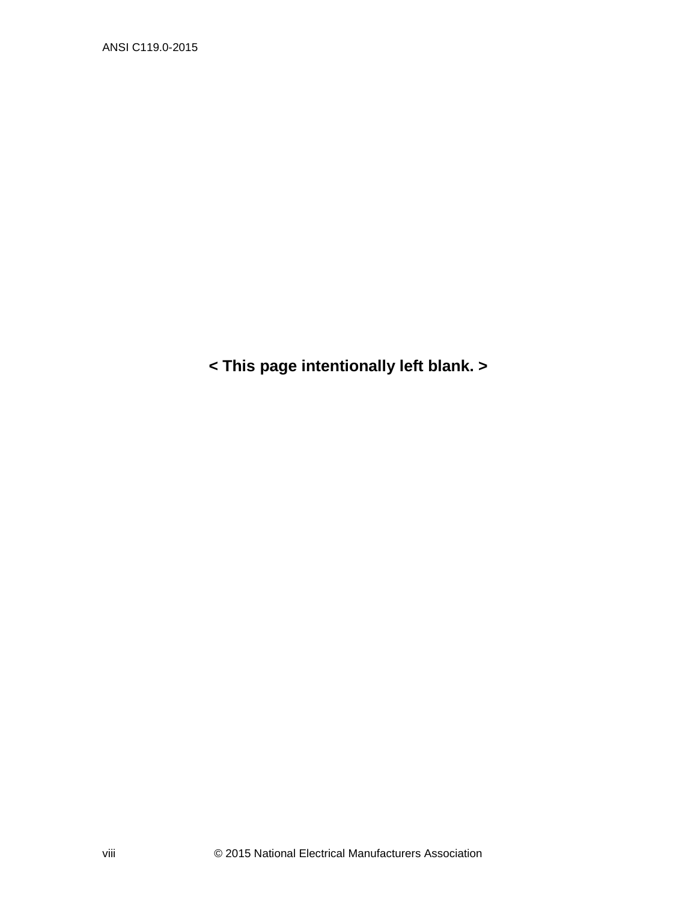**< This page intentionally left blank. >** 

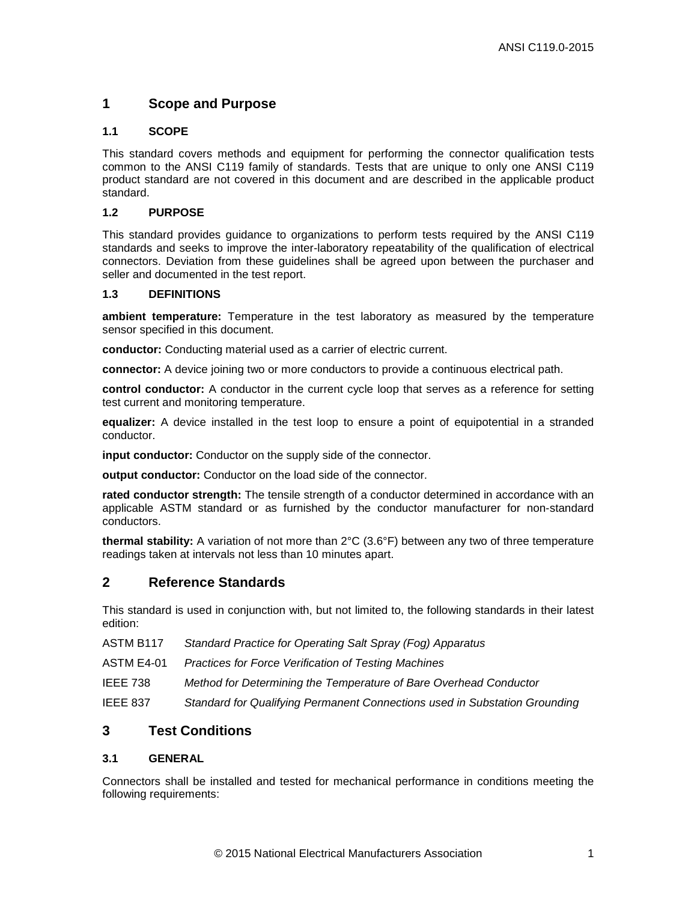## <span id="page-10-0"></span>**1 Scope and Purpose**

#### <span id="page-10-1"></span>**1.1 SCOPE**

This standard covers methods and equipment for performing the connector qualification tests common to the ANSI C119 family of standards. Tests that are unique to only one ANSI C119 product standard are not covered in this document and are described in the applicable product standard.

#### <span id="page-10-2"></span>**1.2 PURPOSE**

This standard provides guidance to organizations to perform tests required by the ANSI C119 standards and seeks to improve the inter-laboratory repeatability of the qualification of electrical connectors. Deviation from these guidelines shall be agreed upon between the purchaser and seller and documented in the test report.

#### <span id="page-10-3"></span>**1.3 DEFINITIONS**

**ambient temperature:** Temperature in the test laboratory as measured by the temperature sensor specified in this document.

**conductor:** Conducting material used as a carrier of electric current.

**connector:** A device joining two or more conductors to provide a continuous electrical path.

**control conductor:** A conductor in the current cycle loop that serves as a reference for setting test current and monitoring temperature.

**equalizer:** A device installed in the test loop to ensure a point of equipotential in a stranded conductor.

**input conductor:** Conductor on the supply side of the connector.

**output conductor:** Conductor on the load side of the connector.

**rated conductor strength:** The tensile strength of a conductor determined in accordance with an applicable ASTM standard or as furnished by the conductor manufacturer for non-standard conductors.

**thermal stability:** A variation of not more than 2°C (3.6°F) between any two of three temperature readings taken at intervals not less than 10 minutes apart.

## <span id="page-10-4"></span>**2 Reference Standards**

This standard is used in conjunction with, but not limited to, the following standards in their latest edition:

| ASTM B <sub>117</sub> | <b>Standard Practice for Operating Salt Spray (Fog) Apparatus</b> |  |  |
|-----------------------|-------------------------------------------------------------------|--|--|
|-----------------------|-------------------------------------------------------------------|--|--|

ASTM E4-01 *Practices for Force Verification of Testing Machines*

IEEE 738 *Method for Determining the Temperature of Bare Overhead Conductor*

IEEE 837 *Standard for Qualifying Permanent Connections used in Substation Grounding*

## <span id="page-10-5"></span>**3 Test Conditions**

### <span id="page-10-6"></span>**3.1 GENERAL**

Connectors shall be installed and tested for mechanical performance in conditions meeting the following requirements: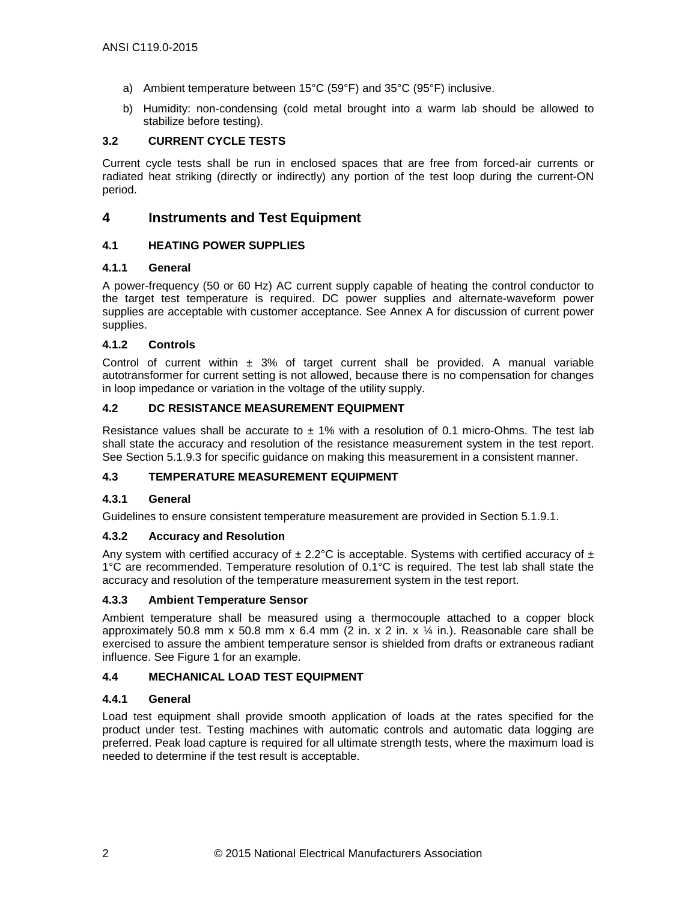- a) Ambient temperature between 15°C (59°F) and 35°C (95°F) inclusive.
- b) Humidity: non-condensing (cold metal brought into a warm lab should be allowed to stabilize before testing).

### <span id="page-11-0"></span>**3.2 CURRENT CYCLE TESTS**

Current cycle tests shall be run in enclosed spaces that are free from forced-air currents or radiated heat striking (directly or indirectly) any portion of the test loop during the current-ON period.

## <span id="page-11-1"></span>**4 Instruments and Test Equipment**

## <span id="page-11-2"></span>**4.1 HEATING POWER SUPPLIES**

#### <span id="page-11-3"></span>**4.1.1 General**

A power-frequency (50 or 60 Hz) AC current supply capable of heating the control conductor to the target test temperature is required. DC power supplies and alternate-waveform power supplies are acceptable with customer acceptance. See Annex A for discussion of current power supplies.

## <span id="page-11-4"></span>**4.1.2 Controls**

Control of current within  $\pm$  3% of target current shall be provided. A manual variable autotransformer for current setting is not allowed, because there is no compensation for changes in loop impedance or variation in the voltage of the utility supply.

## <span id="page-11-5"></span>**4.2 DC RESISTANCE MEASUREMENT EQUIPMENT**

Resistance values shall be accurate to  $\pm$  1% with a resolution of 0.1 micro-Ohms. The test lab shall state the accuracy and resolution of the resistance measurement system in the test report. See Section 5.1.9.3 for specific guidance on making this measurement in a consistent manner.

## <span id="page-11-6"></span>**4.3 TEMPERATURE MEASUREMENT EQUIPMENT**

## <span id="page-11-7"></span>**4.3.1 General**

Guidelines to ensure consistent temperature measurement are provided in Section 5.1.9.1.

#### <span id="page-11-8"></span>**4.3.2 Accuracy and Resolution**

Any system with certified accuracy of  $\pm$  2.2°C is acceptable. Systems with certified accuracy of  $\pm$ 1°C are recommended. Temperature resolution of 0.1°C is required. The test lab shall state the accuracy and resolution of the temperature measurement system in the test report.

#### <span id="page-11-9"></span>**4.3.3 Ambient Temperature Sensor**

Ambient temperature shall be measured using a thermocouple attached to a copper block approximately 50.8 mm x 50.8 mm x 6.4 mm (2 in. x 2 in. x  $\frac{1}{4}$  in.). Reasonable care shall be exercised to assure the ambient temperature sensor is shielded from drafts or extraneous radiant influence. See [Figure 1](#page-25-0) for an example.

## <span id="page-11-10"></span>**4.4 MECHANICAL LOAD TEST EQUIPMENT**

#### <span id="page-11-11"></span>**4.4.1 General**

Load test equipment shall provide smooth application of loads at the rates specified for the product under test. Testing machines with automatic controls and automatic data logging are preferred. Peak load capture is required for all ultimate strength tests, where the maximum load is needed to determine if the test result is acceptable.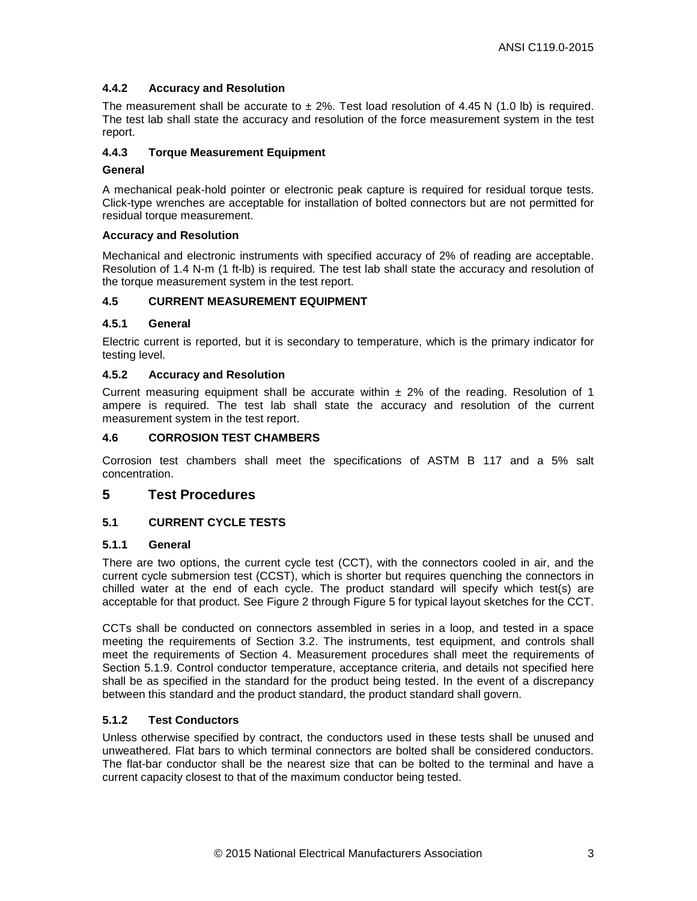## <span id="page-12-0"></span>**4.4.2 Accuracy and Resolution**

The measurement shall be accurate to  $\pm 2\%$ . Test load resolution of 4.45 N (1.0 lb) is required. The test lab shall state the accuracy and resolution of the force measurement system in the test report.

### <span id="page-12-1"></span>**4.4.3 Torque Measurement Equipment**

#### **General**

A mechanical peak-hold pointer or electronic peak capture is required for residual torque tests. Click-type wrenches are acceptable for installation of bolted connectors but are not permitted for residual torque measurement.

#### **Accuracy and Resolution**

Mechanical and electronic instruments with specified accuracy of 2% of reading are acceptable. Resolution of 1.4 N-m (1 ft-lb) is required. The test lab shall state the accuracy and resolution of the torque measurement system in the test report.

## <span id="page-12-2"></span>**4.5 CURRENT MEASUREMENT EQUIPMENT**

#### <span id="page-12-3"></span>**4.5.1 General**

Electric current is reported, but it is secondary to temperature, which is the primary indicator for testing level.

#### <span id="page-12-4"></span>**4.5.2 Accuracy and Resolution**

Current measuring equipment shall be accurate within  $\pm$  2% of the reading. Resolution of 1 ampere is required. The test lab shall state the accuracy and resolution of the current measurement system in the test report.

## <span id="page-12-5"></span>**4.6 CORROSION TEST CHAMBERS**

Corrosion test chambers shall meet the specifications of ASTM B 117 and a 5% salt concentration.

## <span id="page-12-6"></span>**5 Test Procedures**

## <span id="page-12-7"></span>**5.1 CURRENT CYCLE TESTS**

#### <span id="page-12-8"></span>**5.1.1 General**

There are two options, the current cycle test (CCT), with the connectors cooled in air, and the current cycle submersion test (CCST), which is shorter but requires quenching the connectors in chilled water at the end of each cycle. The product standard will specify which test(s) are acceptable for that product. See [Figure 2](#page-26-0) through [Figure 5](#page-29-0) for typical layout sketches for the CCT.

CCTs shall be conducted on connectors assembled in series in a loop, and tested in a space meeting the requirements of Section [3.2.](#page-11-0) The instruments, test equipment, and controls shall meet the requirements of Section 4. Measurement procedures shall meet the requirements of Section [5.1.9.](#page-15-1) Control conductor temperature, acceptance criteria, and details not specified here shall be as specified in the standard for the product being tested. In the event of a discrepancy between this standard and the product standard, the product standard shall govern.

## <span id="page-12-9"></span>**5.1.2 Test Conductors**

Unless otherwise specified by contract, the conductors used in these tests shall be unused and unweathered. Flat bars to which terminal connectors are bolted shall be considered conductors. The flat-bar conductor shall be the nearest size that can be bolted to the terminal and have a current capacity closest to that of the maximum conductor being tested.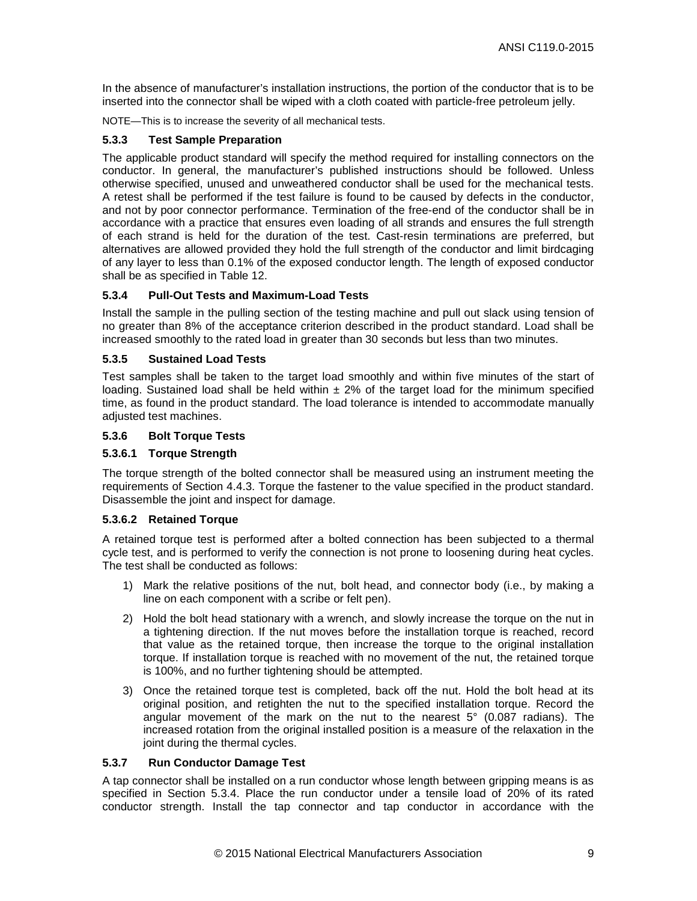In the absence of manufacturer's installation instructions, the portion of the conductor that is to be inserted into the connector shall be wiped with a cloth coated with particle-free petroleum jelly.

NOTE—This is to increase the severity of all mechanical tests.

#### <span id="page-18-0"></span>**5.3.3 Test Sample Preparation**

The applicable product standard will specify the method required for installing connectors on the conductor. In general, the manufacturer's published instructions should be followed. Unless otherwise specified, unused and unweathered conductor shall be used for the mechanical tests. A retest shall be performed if the test failure is found to be caused by defects in the conductor, and not by poor connector performance. Termination of the free-end of the conductor shall be in accordance with a practice that ensures even loading of all strands and ensures the full strength of each strand is held for the duration of the test. Cast-resin terminations are preferred, but alternatives are allowed provided they hold the full strength of the conductor and limit birdcaging of any layer to less than 0.1% of the exposed conductor length. The length of exposed conductor shall be as specified in [Table 12.](#page-24-2)

#### <span id="page-18-1"></span>**5.3.4 Pull-Out Tests and Maximum-Load Tests**

Install the sample in the pulling section of the testing machine and pull out slack using tension of no greater than 8% of the acceptance criterion described in the product standard. Load shall be increased smoothly to the rated load in greater than 30 seconds but less than two minutes.

#### <span id="page-18-2"></span>**5.3.5 Sustained Load Tests**

Test samples shall be taken to the target load smoothly and within five minutes of the start of loading. Sustained load shall be held within  $\pm 2\%$  of the target load for the minimum specified time, as found in the product standard. The load tolerance is intended to accommodate manually adjusted test machines.

#### <span id="page-18-3"></span>**5.3.6 Bolt Torque Tests**

#### **5.3.6.1 Torque Strength**

The torque strength of the bolted connector shall be measured using an instrument meeting the requirements of Section [4.4.3.](#page-12-1) Torque the fastener to the value specified in the product standard. Disassemble the joint and inspect for damage.

### **5.3.6.2 Retained Torque**

A retained torque test is performed after a bolted connection has been subjected to a thermal cycle test, and is performed to verify the connection is not prone to loosening during heat cycles. The test shall be conducted as follows:

- 1) Mark the relative positions of the nut, bolt head, and connector body (i.e., by making a line on each component with a scribe or felt pen).
- 2) Hold the bolt head stationary with a wrench, and slowly increase the torque on the nut in a tightening direction. If the nut moves before the installation torque is reached, record that value as the retained torque, then increase the torque to the original installation torque. If installation torque is reached with no movement of the nut, the retained torque is 100%, and no further tightening should be attempted.
- 3) Once the retained torque test is completed, back off the nut. Hold the bolt head at its original position, and retighten the nut to the specified installation torque. Record the angular movement of the mark on the nut to the nearest  $5^{\circ}$  (0.087 radians). The increased rotation from the original installed position is a measure of the relaxation in the joint during the thermal cycles.

#### <span id="page-18-4"></span>**5.3.7 Run Conductor Damage Test**

A tap connector shall be installed on a run conductor whose length between gripping means is as specified in Section [5.3.4.](#page-18-1) Place the run conductor under a tensile load of 20% of its rated conductor strength. Install the tap connector and tap conductor in accordance with the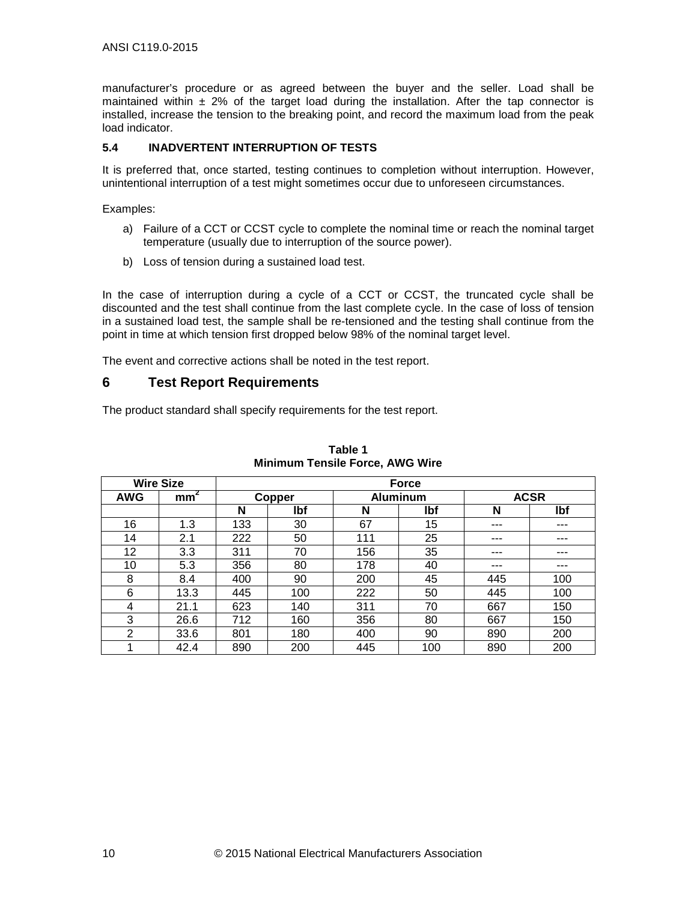manufacturer's procedure or as agreed between the buyer and the seller. Load shall be maintained within  $\pm$  2% of the target load during the installation. After the tap connector is installed, increase the tension to the breaking point, and record the maximum load from the peak load indicator.

## <span id="page-19-0"></span>**5.4 INADVERTENT INTERRUPTION OF TESTS**

It is preferred that, once started, testing continues to completion without interruption. However, unintentional interruption of a test might sometimes occur due to unforeseen circumstances.

Examples:

- a) Failure of a CCT or CCST cycle to complete the nominal time or reach the nominal target temperature (usually due to interruption of the source power).
- b) Loss of tension during a sustained load test.

In the case of interruption during a cycle of a CCT or CCST, the truncated cycle shall be discounted and the test shall continue from the last complete cycle. In the case of loss of tension in a sustained load test, the sample shall be re-tensioned and the testing shall continue from the point in time at which tension first dropped below 98% of the nominal target level.

The event and corrective actions shall be noted in the test report.

## <span id="page-19-1"></span>**6 Test Report Requirements**

The product standard shall specify requirements for the test report.

<span id="page-19-2"></span>

|                | <b>Wire Size</b> |     |               |     | <b>Force</b>    |             |     |
|----------------|------------------|-----|---------------|-----|-----------------|-------------|-----|
| <b>AWG</b>     | mm <sup>2</sup>  |     | <b>Copper</b> |     | <b>Aluminum</b> | <b>ACSR</b> |     |
|                |                  | N   | lbf           | N   | lbf             | N           | lbf |
| 16             | 1.3              | 133 | 30            | 67  | 15              | ---         | --- |
| 14             | 2.1              | 222 | 50            | 111 | 25              | ---         | --- |
| 12             | 3.3              | 311 | 70            | 156 | 35              | ---         | --- |
| 10             | 5.3              | 356 | 80            | 178 | 40              | ---         | --- |
| 8              | 8.4              | 400 | 90            | 200 | 45              | 445         | 100 |
| 6              | 13.3             | 445 | 100           | 222 | 50              | 445         | 100 |
| 4              | 21.1             | 623 | 140           | 311 | 70              | 667         | 150 |
| 3              | 26.6             | 712 | 160           | 356 | 80              | 667         | 150 |
| $\overline{2}$ | 33.6             | 801 | 180           | 400 | 90              | 890         | 200 |
|                | 42.4             | 890 | 200           | 445 | 100             | 890         | 200 |

| Table 1                                |  |
|----------------------------------------|--|
| <b>Minimum Tensile Force, AWG Wire</b> |  |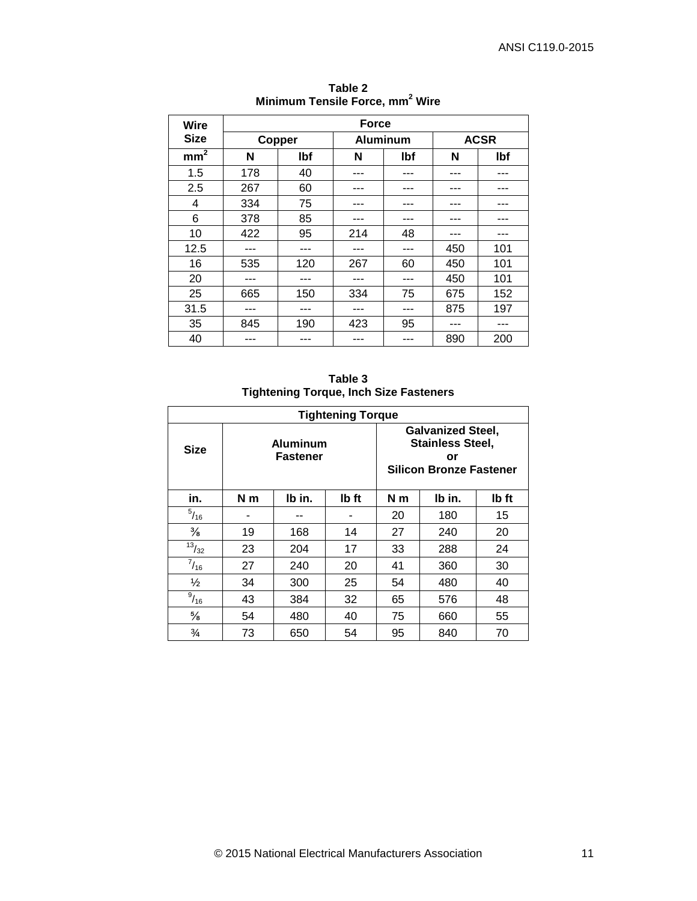<span id="page-20-0"></span>

| Wire            | <b>Force</b> |        |     |                 |     |             |  |  |  |
|-----------------|--------------|--------|-----|-----------------|-----|-------------|--|--|--|
| <b>Size</b>     |              | Copper |     | <b>Aluminum</b> |     | <b>ACSR</b> |  |  |  |
| mm <sup>2</sup> | N            | lbf    | N   | <b>Ibf</b>      | N   | lbf         |  |  |  |
| 1.5             | 178          | 40     |     |                 |     |             |  |  |  |
| 2.5             | 267          | 60     |     |                 |     |             |  |  |  |
| 4               | 334          | 75     |     |                 |     |             |  |  |  |
| 6               | 378          | 85     |     |                 |     |             |  |  |  |
| 10              | 422          | 95     | 214 | 48              | --- | ---         |  |  |  |
| 12.5            |              | ---    |     | ---             | 450 | 101         |  |  |  |
| 16              | 535          | 120    | 267 | 60              | 450 | 101         |  |  |  |
| 20              |              |        |     | ---             | 450 | 101         |  |  |  |
| 25              | 665          | 150    | 334 | 75              | 675 | 152         |  |  |  |
| 31.5            | ---          | ---    | --- | ---             | 875 | 197         |  |  |  |
| 35              | 845          | 190    | 423 | 95              |     |             |  |  |  |
| 40              |              | ---    |     | ---             | 890 | 200         |  |  |  |

**Table 2 Minimum Tensile Force, mm<sup>2</sup> Wire**

**Table 3 Tightening Torque, Inch Size Fasteners**

<span id="page-20-1"></span>

|                 | <b>Tightening Torque</b>           |        |       |                                                                                             |        |       |  |  |
|-----------------|------------------------------------|--------|-------|---------------------------------------------------------------------------------------------|--------|-------|--|--|
| <b>Size</b>     | <b>Aluminum</b><br><b>Fastener</b> |        |       | <b>Galvanized Steel,</b><br><b>Stainless Steel,</b><br>or<br><b>Silicon Bronze Fastener</b> |        |       |  |  |
| in.             | N <sub>m</sub>                     | Ib in. | lb ft | N <sub>m</sub>                                                                              | lb in. | Ib ft |  |  |
| $^{5}/_{16}$    |                                    |        |       | 20                                                                                          | 180    | 15    |  |  |
| $\frac{3}{8}$   | 19                                 | 168    | 14    | 27                                                                                          | 240    | 20    |  |  |
| $\frac{13}{32}$ | 23                                 | 204    | 17    | 33                                                                                          | 288    | 24    |  |  |
| $^{7}/_{16}$    | 27                                 | 240    | 20    | 41                                                                                          | 360    | 30    |  |  |
| $\frac{1}{2}$   | 34                                 | 300    | 25    | 54                                                                                          | 480    | 40    |  |  |
| $^{9}/_{16}$    | 43                                 | 384    | 32    | 65                                                                                          | 576    | 48    |  |  |
| $\frac{5}{8}$   | 54                                 | 480    | 40    | 75                                                                                          | 660    | 55    |  |  |
| $\frac{3}{4}$   | 73                                 | 650    | 54    | 95                                                                                          | 840    | 70    |  |  |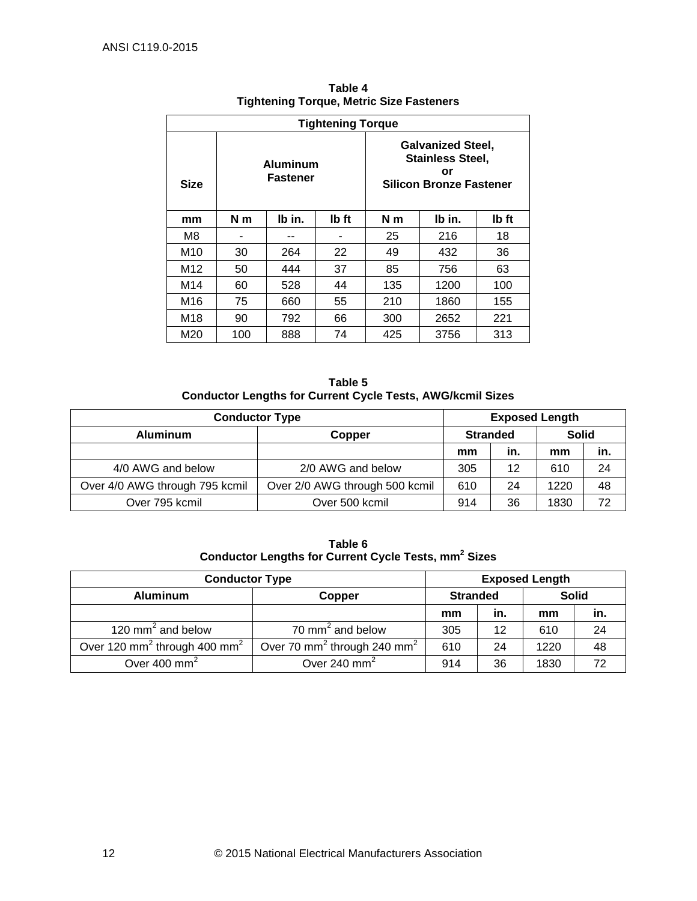<span id="page-21-0"></span>

| <b>Tightening Torque</b> |                |                      |       |                |                                                                                             |       |  |
|--------------------------|----------------|----------------------|-------|----------------|---------------------------------------------------------------------------------------------|-------|--|
| <b>Size</b>              |                | Aluminum<br>Fastener |       |                | <b>Galvanized Steel,</b><br><b>Stainless Steel,</b><br>or<br><b>Silicon Bronze Fastener</b> |       |  |
| mm                       | N <sub>m</sub> | Ib in.               | Ib ft | N <sub>m</sub> | Ib in.                                                                                      | Ib ft |  |
| M8                       |                |                      |       | 25             | 216                                                                                         | 18    |  |
| M10                      | 30             | 264                  | 22    | 49             | 432                                                                                         | 36    |  |
| M12                      | 50             | 444                  | 37    | 85             | 756                                                                                         | 63    |  |
| M14                      | 60             | 528                  | 44    | 135            | 1200                                                                                        | 100   |  |
| M <sub>16</sub>          | 75             | 660                  | 55    | 210            | 1860                                                                                        | 155   |  |
| M18                      | 90             | 792                  | 66    | 300            | 2652                                                                                        | 221   |  |
| M20                      | 100            | 888                  | 74    | 425            | 3756                                                                                        | 313   |  |

**Table 4 Tightening Torque, Metric Size Fasteners**

**Table 5 Conductor Lengths for Current Cycle Tests, AWG/kcmil Sizes**

<span id="page-21-3"></span><span id="page-21-1"></span>

| <b>Conductor Type</b>          |                                | <b>Exposed Length</b> |                 |              |     |
|--------------------------------|--------------------------------|-----------------------|-----------------|--------------|-----|
| <b>Aluminum</b><br>Copper      |                                |                       | <b>Stranded</b> | <b>Solid</b> |     |
|                                |                                | mm                    | in.             | mm           | in. |
| 4/0 AWG and below              | 2/0 AWG and below              | 305                   | 12              | 610          | 24  |
| Over 4/0 AWG through 795 kcmil | Over 2/0 AWG through 500 kcmil | 610                   | 24              | 1220         | 48  |
| Over 795 kcmil                 | Over 500 kcmil                 | 914                   | 36              | 1830         | 72  |

**Table 6 Conductor Lengths for Current Cycle Tests, mm<sup>2</sup> Sizes**

<span id="page-21-2"></span>

| <b>Conductor Type</b>                                | <b>Exposed Length</b>                               |     |                 |              |     |
|------------------------------------------------------|-----------------------------------------------------|-----|-----------------|--------------|-----|
| <b>Aluminum</b><br>Copper                            |                                                     |     | <b>Stranded</b> | <b>Solid</b> |     |
|                                                      |                                                     | mm  | in.             | mm           | in. |
| 120 mm <sup>2</sup> and below                        | 70 mm <sup>2</sup> and below                        | 305 | 12              | 610          | 24  |
| Over 120 mm <sup>2</sup> through 400 mm <sup>2</sup> | Over 70 mm <sup>2</sup> through 240 mm <sup>2</sup> | 610 | 24              | 1220         | 48  |
| Over 400 mm <sup>2</sup>                             | Over 240 mm <sup>2</sup>                            | 914 | 36              | 1830         | 72  |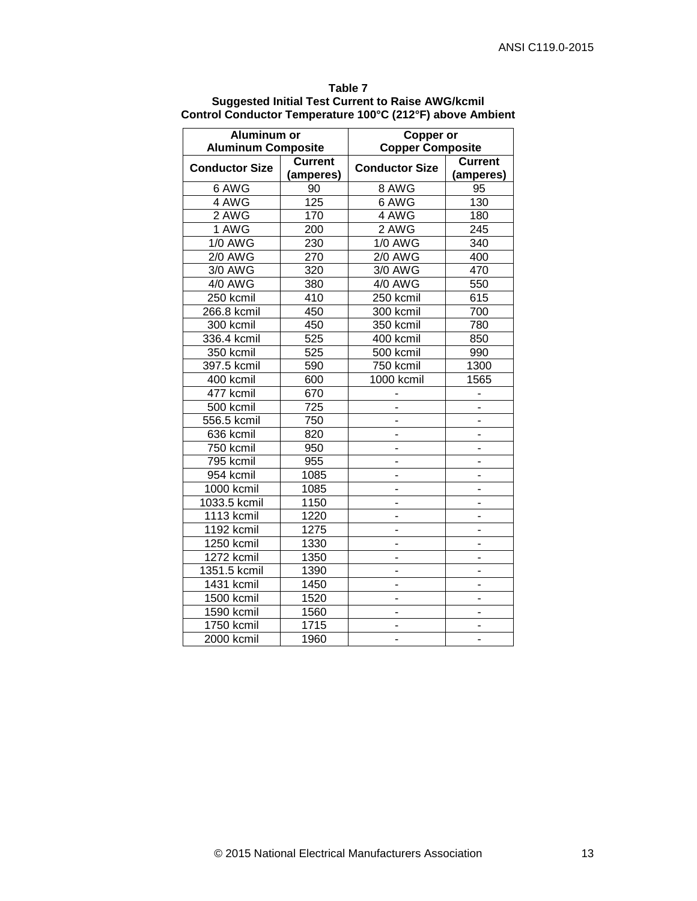<span id="page-22-0"></span>

| Aluminum or<br><b>Aluminum Composite</b> |                             | <b>Copper or</b><br><b>Copper Composite</b> |                             |  |
|------------------------------------------|-----------------------------|---------------------------------------------|-----------------------------|--|
| <b>Conductor Size</b>                    | <b>Current</b><br>(amperes) | <b>Conductor Size</b>                       | <b>Current</b><br>(amperes) |  |
| 6 AWG                                    | 90                          | 8 AWG                                       | 95                          |  |
| 4 AWG                                    | 125                         | 6 AWG                                       | 130                         |  |
| 2 AWG                                    | 170                         | 4 AWG                                       | 180                         |  |
| 1 AWG                                    | 200                         | 2 AWG                                       | 245                         |  |
| $1/0$ AWG                                | 230                         | <b>1/0 AWG</b>                              | 340                         |  |
| <b>2/0 AWG</b>                           | 270                         | <b>2/0 AWG</b>                              | 400                         |  |
| 3/0 AWG                                  | 320                         | 3/0 AWG                                     | 470                         |  |
| 4/0 AWG                                  | 380                         | 4/0 AWG                                     | 550                         |  |
| 250 kcmil                                | 410                         | 250 kcmil                                   | 615                         |  |
| 266.8 kcmil                              | 450                         | 300 kcmil                                   | 700                         |  |
| 300 kcmil                                | 450                         | 350 kcmil                                   | 780                         |  |
| 336.4 kcmil                              | 525                         | 400 kcmil                                   | 850                         |  |
| 350 kcmil                                | 525                         | 500 kcmil                                   | 990                         |  |
| 397.5 kcmil                              | 590                         | 750 kcmil                                   | 1300                        |  |
| 400 kcmil                                | 600                         | 1000 kcmil                                  | 1565                        |  |
| 477 kcmil                                | 670                         |                                             | $\overline{\phantom{0}}$    |  |
| 500 kcmil                                | 725                         | ä,                                          | $\overline{\phantom{0}}$    |  |
| 556.5 kcmil                              | 750                         | ÷.                                          | ÷,                          |  |
| 636 kcmil                                | 820                         | ٠                                           | н.                          |  |
| 750 kcmil                                | 950                         | ٠                                           | ш.                          |  |
| 795 kcmil                                | 955                         | ٠                                           | ۰,                          |  |
| 954 kcmil                                | 1085                        | $\overline{\phantom{0}}$                    | L,                          |  |
| 1000 kcmil                               | 1085                        |                                             |                             |  |
| 1033.5 kcmil                             | 1150                        | $\overline{a}$                              |                             |  |
| 1113 kcmil                               | 1220                        | ٠                                           |                             |  |
| 1192 kcmil                               | 1275                        | ٠                                           |                             |  |
| 1250 kcmil                               | 1330                        | ۰                                           | -                           |  |
| 1272 kcmil                               | 1350                        | ٠                                           | ۰                           |  |
| 1351.5 kcmil                             | 1390                        |                                             |                             |  |
| 1431 kcmil                               | 1450                        |                                             |                             |  |
| 1500 kcmil                               | 1520                        | $\overline{\phantom{0}}$                    |                             |  |
| 1590 kcmil                               | 1560                        | ÷.                                          | ۰                           |  |
| 1750 kcmil                               | 1715                        | ۰                                           |                             |  |
| 2000 kcmil                               | 1960                        | $\overline{\phantom{0}}$                    | -                           |  |

**Table 7 Suggested Initial Test Current to Raise AWG/kcmil Control Conductor Temperature 100°C (212°F) above Ambient**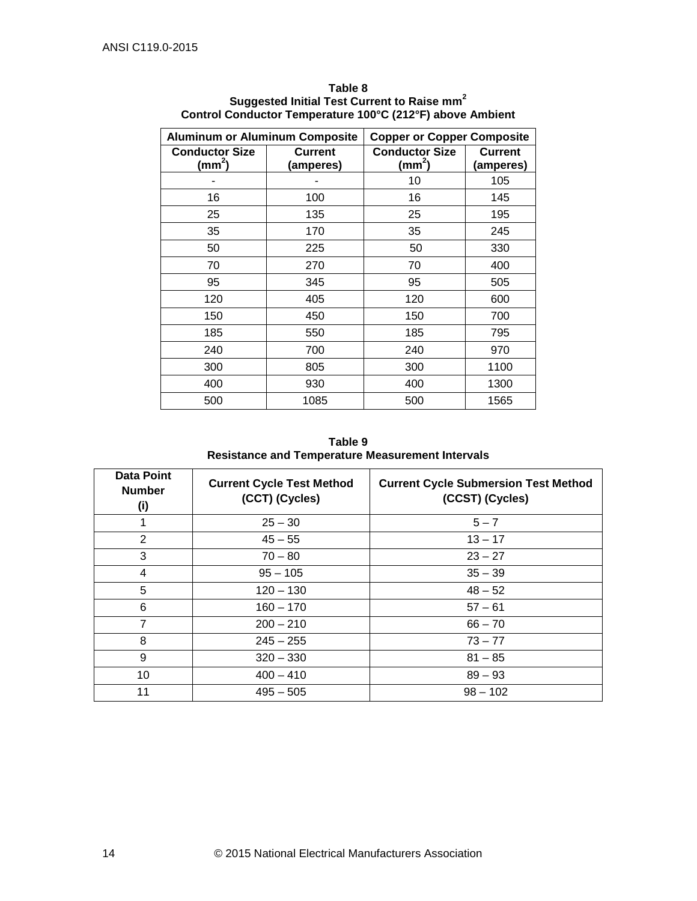<span id="page-23-0"></span>

| <b>Aluminum or Aluminum Composite</b>      |                             | <b>Copper or Copper Composite</b>        |                             |  |
|--------------------------------------------|-----------------------------|------------------------------------------|-----------------------------|--|
| <b>Conductor Size</b><br>$\textsf{(mm}^2)$ | <b>Current</b><br>(amperes) | <b>Conductor Size</b><br>$\text{(mm}^2)$ | <b>Current</b><br>(amperes) |  |
|                                            |                             | 10                                       | 105                         |  |
| 16                                         | 100                         | 16                                       | 145                         |  |
| 25                                         | 135                         | 25                                       | 195                         |  |
| 35                                         | 170                         | 35                                       | 245                         |  |
| 50                                         | 225                         | 50                                       | 330                         |  |
| 70                                         | 270                         | 70                                       | 400                         |  |
| 95                                         | 345                         | 95                                       | 505                         |  |
| 120                                        | 405                         | 120                                      | 600                         |  |
| 150                                        | 450                         | 150                                      | 700                         |  |
| 185                                        | 550                         | 185                                      | 795                         |  |
| 240                                        | 700                         | 240                                      | 970                         |  |
| 300                                        | 805                         | 300                                      | 1100                        |  |
| 400                                        | 930                         | 400                                      | 1300                        |  |
| 500                                        | 1085                        | 500                                      | 1565                        |  |

**Table 8 Suggested Initial Test Current to Raise mm<sup>2</sup> Control Conductor Temperature 100°C (212°F) above Ambient**

**Table 9 Resistance and Temperature Measurement Intervals**

<span id="page-23-1"></span>

| <b>Data Point</b><br><b>Number</b><br>(i) | <b>Current Cycle Test Method</b><br>(CCT) (Cycles) | <b>Current Cycle Submersion Test Method</b><br>(CCST) (Cycles) |  |  |
|-------------------------------------------|----------------------------------------------------|----------------------------------------------------------------|--|--|
|                                           | $25 - 30$                                          | $5 - 7$                                                        |  |  |
| 2                                         | $45 - 55$                                          | $13 - 17$                                                      |  |  |
| 3                                         | $70 - 80$                                          | $23 - 27$                                                      |  |  |
| 4                                         | $95 - 105$                                         | $35 - 39$                                                      |  |  |
| 5                                         | $120 - 130$                                        | $48 - 52$                                                      |  |  |
| 6                                         | $160 - 170$                                        | $57 - 61$                                                      |  |  |
| $\overline{7}$                            | $200 - 210$                                        | $66 - 70$                                                      |  |  |
| 8                                         | $245 - 255$                                        | $73 - 77$                                                      |  |  |
| 9                                         | $320 - 330$                                        | $81 - 85$                                                      |  |  |
| 10                                        | $400 - 410$                                        | $89 - 93$                                                      |  |  |
| 11                                        | $495 - 505$                                        | $98 - 102$                                                     |  |  |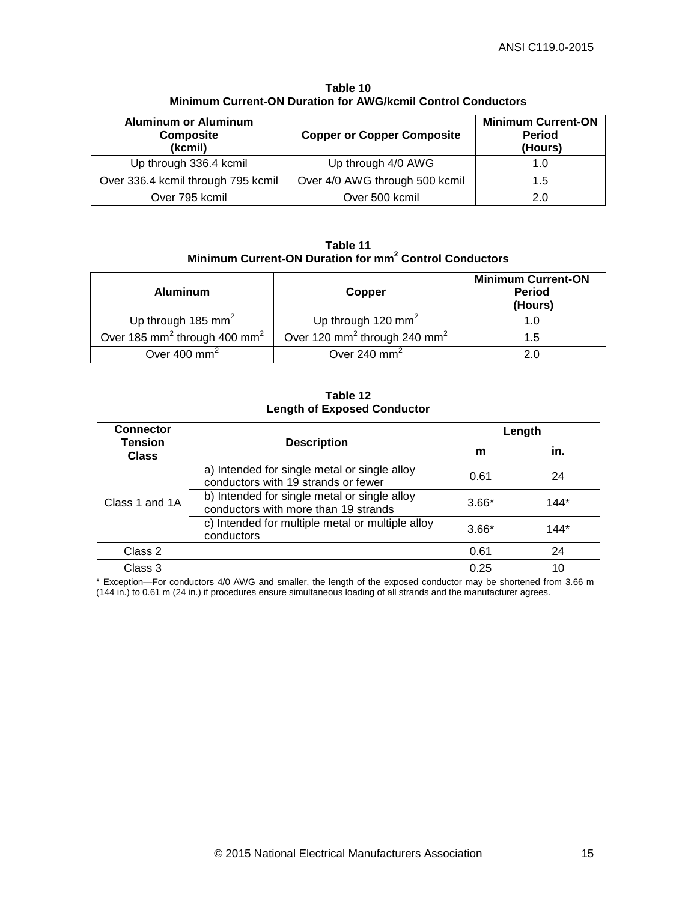<span id="page-24-0"></span>

| <b>Aluminum or Aluminum</b><br><b>Composite</b><br>(kcmil) | <b>Copper or Copper Composite</b> | <b>Minimum Current-ON</b><br><b>Period</b><br>(Hours) |  |
|------------------------------------------------------------|-----------------------------------|-------------------------------------------------------|--|
| Up through 336.4 kcmil                                     | Up through 4/0 AWG                | 1.0                                                   |  |
| Over 336.4 kcmil through 795 kcmil                         | Over 4/0 AWG through 500 kcmil    | 1.5                                                   |  |
| Over 795 kcmil                                             | Over 500 kcmil                    | 2 በ                                                   |  |

**Table 10 Minimum Current-ON Duration for AWG/kcmil Control Conductors**

**Table 11 Minimum Current-ON Duration for mm<sup>2</sup> Control Conductors**

<span id="page-24-1"></span>

| <b>Aluminum</b>                                      | Copper                                               | <b>Minimum Current-ON</b><br><b>Period</b><br>(Hours) |
|------------------------------------------------------|------------------------------------------------------|-------------------------------------------------------|
| Up through 185 mm <sup>2</sup>                       | Up through 120 mm <sup>2</sup>                       | 1.U                                                   |
| Over 185 mm <sup>2</sup> through 400 mm <sup>2</sup> | Over 120 mm <sup>2</sup> through 240 mm <sup>2</sup> | 1.5                                                   |
| Over $400 \text{ mm}^2$                              | Over 240 $mm2$                                       | 2.0                                                   |

#### **Table 12 Length of Exposed Conductor**

<span id="page-24-2"></span>

| <b>Connector</b>               |                                                                                      | Length  |        |  |
|--------------------------------|--------------------------------------------------------------------------------------|---------|--------|--|
| <b>Tension</b><br><b>Class</b> | <b>Description</b>                                                                   |         | in.    |  |
| Class 1 and 1A                 | a) Intended for single metal or single alloy<br>conductors with 19 strands or fewer  | 0.61    | 24     |  |
|                                | b) Intended for single metal or single alloy<br>conductors with more than 19 strands | $3.66*$ | $144*$ |  |
|                                | c) Intended for multiple metal or multiple alloy<br>conductors                       | $3.66*$ | $144*$ |  |
| Class 2                        |                                                                                      | 0.61    | 24     |  |
| Class 3                        |                                                                                      | 0.25    | 10     |  |

\* Exception—For conductors 4/0 AWG and smaller, the length of the exposed conductor may be shortened from 3.66 m (144 in.) to 0.61 m (24 in.) if procedures ensure simultaneous loading of all strands and the manufacturer agrees.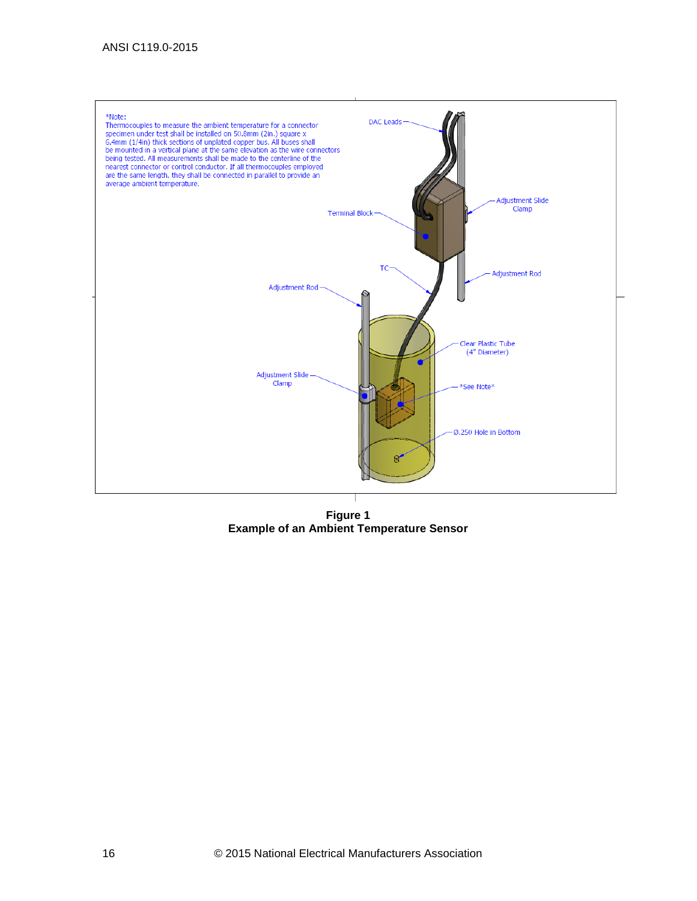

<span id="page-25-0"></span>**Example of an Ambient Temperature Sensor**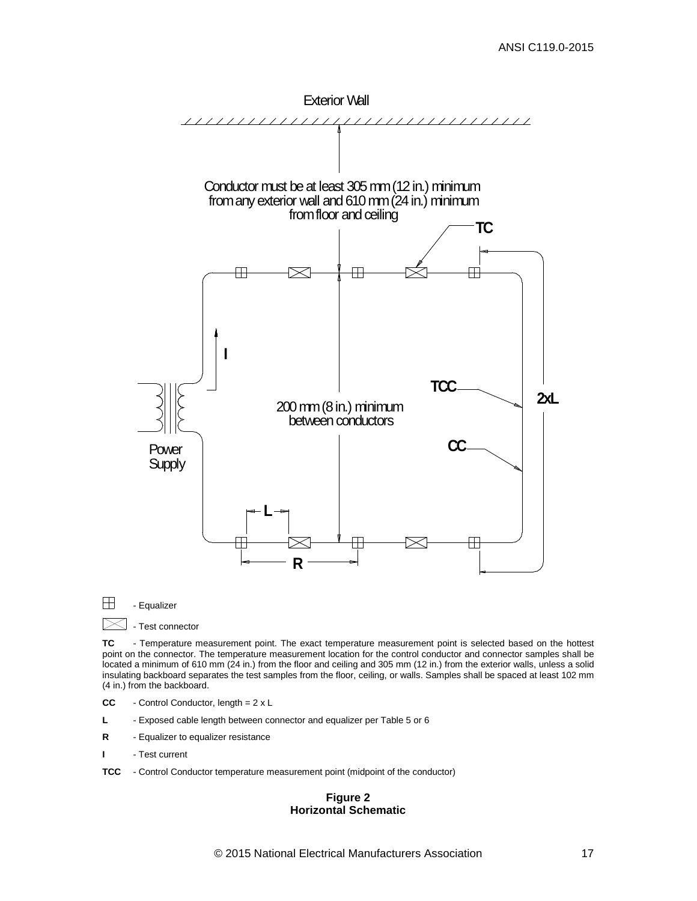

 $\Box$  - Equalizer

 $\boxtimes$  - Test connector

**TC** - Temperature measurement point. The exact temperature measurement point is selected based on the hottest point on the connector. The temperature measurement location for the control conductor and connector samples shall be located a minimum of 610 mm (24 in.) from the floor and ceiling and 305 mm (12 in.) from the exterior walls, unless a solid insulating backboard separates the test samples from the floor, ceiling, or walls. Samples shall be spaced at least 102 mm (4 in.) from the backboard.

- **CC** Control Conductor, length = 2 x L
- **L** Exposed cable length between connector and equalizer per Table 5 or 6
- **R** Equalizer to equalizer resistance
- **I** Test current
- <span id="page-26-0"></span>**TCC** - Control Conductor temperature measurement point (midpoint of the conductor)

#### **Figure 2 Horizontal Schematic**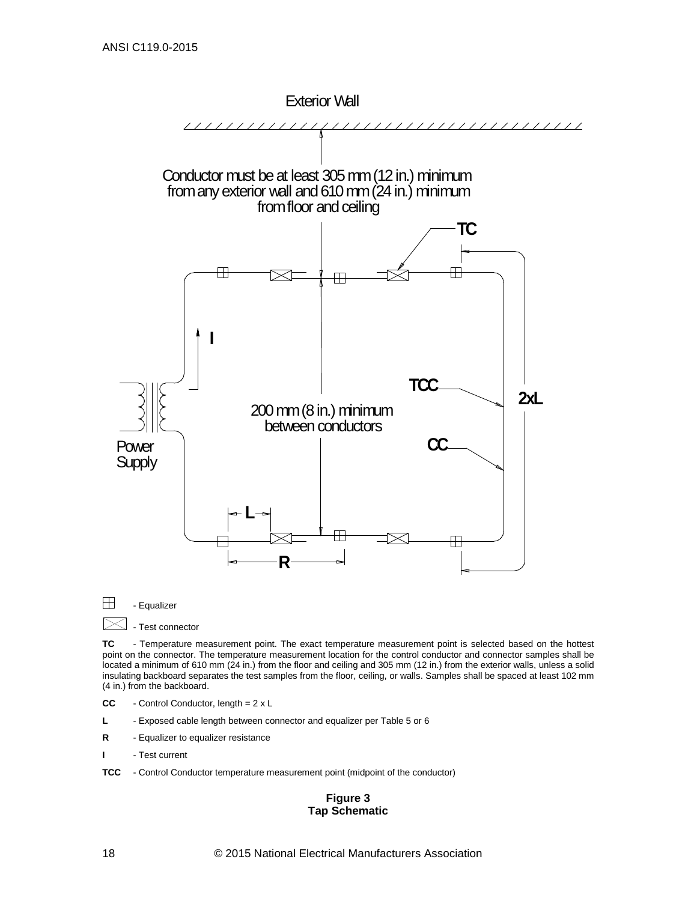

 $\Box$  - Equalizer  $\boxtimes$ 

- Test connector

**TC** - Temperature measurement point. The exact temperature measurement point is selected based on the hottest point on the connector. The temperature measurement location for the control conductor and connector samples shall be located a minimum of 610 mm (24 in.) from the floor and ceiling and 305 mm (12 in.) from the exterior walls, unless a solid insulating backboard separates the test samples from the floor, ceiling, or walls. Samples shall be spaced at least 102 mm (4 in.) from the backboard.

- **CC** Control Conductor, length = 2 x L
- **L** Exposed cable length between connector and equalizer per Table 5 or 6
- **R** Equalizer to equalizer resistance
- **I** Test current
- <span id="page-27-0"></span>**TCC** - Control Conductor temperature measurement point (midpoint of the conductor)

#### **Figure 3 Tap Schematic**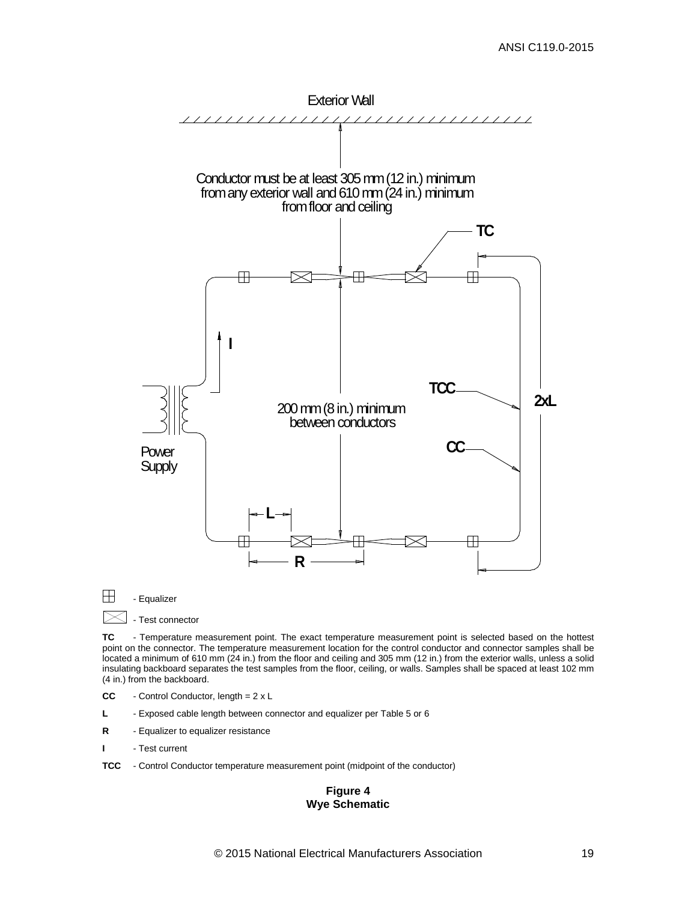

 $\Box$  - Equalizer

 $\boxtimes$  - Test connector

**TC** - Temperature measurement point. The exact temperature measurement point is selected based on the hottest point on the connector. The temperature measurement location for the control conductor and connector samples shall be located a minimum of 610 mm (24 in.) from the floor and ceiling and 305 mm (12 in.) from the exterior walls, unless a solid insulating backboard separates the test samples from the floor, ceiling, or walls. Samples shall be spaced at least 102 mm (4 in.) from the backboard.

- **CC** Control Conductor, length = 2 x L
- **L** Exposed cable length between connector and equalizer per Table 5 or 6
- **R** Equalizer to equalizer resistance
- **I** Test current

<span id="page-28-0"></span>**TCC** - Control Conductor temperature measurement point (midpoint of the conductor)

#### **Figure 4 Wye Schematic**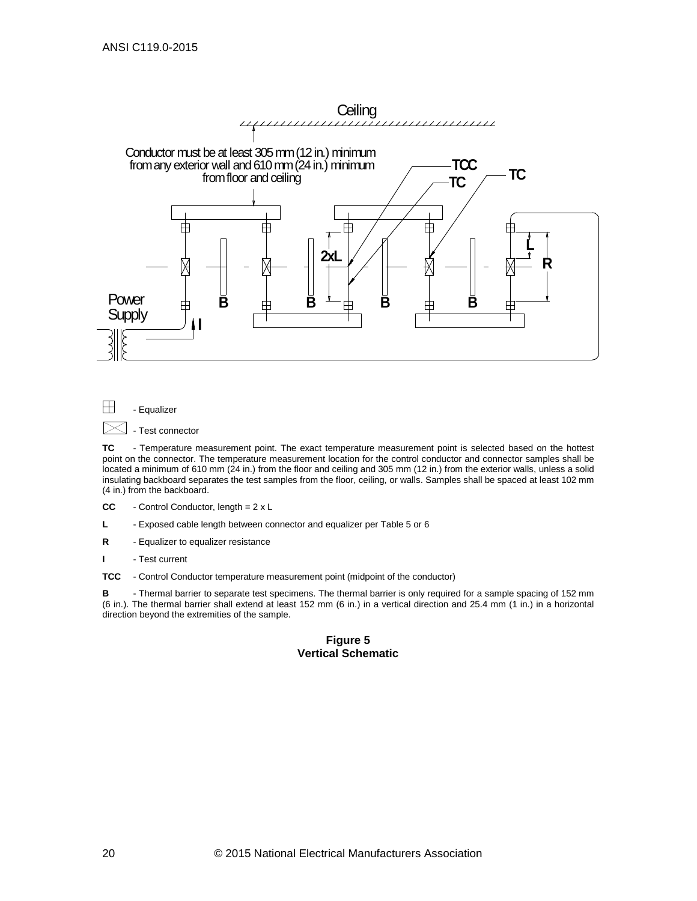



**TC** - Temperature measurement point. The exact temperature measurement point is selected based on the hottest point on the connector. The temperature measurement location for the control conductor and connector samples shall be located a minimum of 610 mm (24 in.) from the floor and ceiling and 305 mm (12 in.) from the exterior walls, unless a solid insulating backboard separates the test samples from the floor, ceiling, or walls. Samples shall be spaced at least 102 mm (4 in.) from the backboard.

**CC** - Control Conductor, length = 2 x L

**L** - Exposed cable length between connector and equalizer per Table 5 or 6

**R** - Equalizer to equalizer resistance

**I** - Test current

**TCC** - Control Conductor temperature measurement point (midpoint of the conductor)

<span id="page-29-0"></span>**B** - Thermal barrier to separate test specimens. The thermal barrier is only required for a sample spacing of 152 mm (6 in.). The thermal barrier shall extend at least 152 mm (6 in.) in a vertical direction and 25.4 mm (1 in.) in a horizontal direction beyond the extremities of the sample.

#### **Figure 5 Vertical Schematic**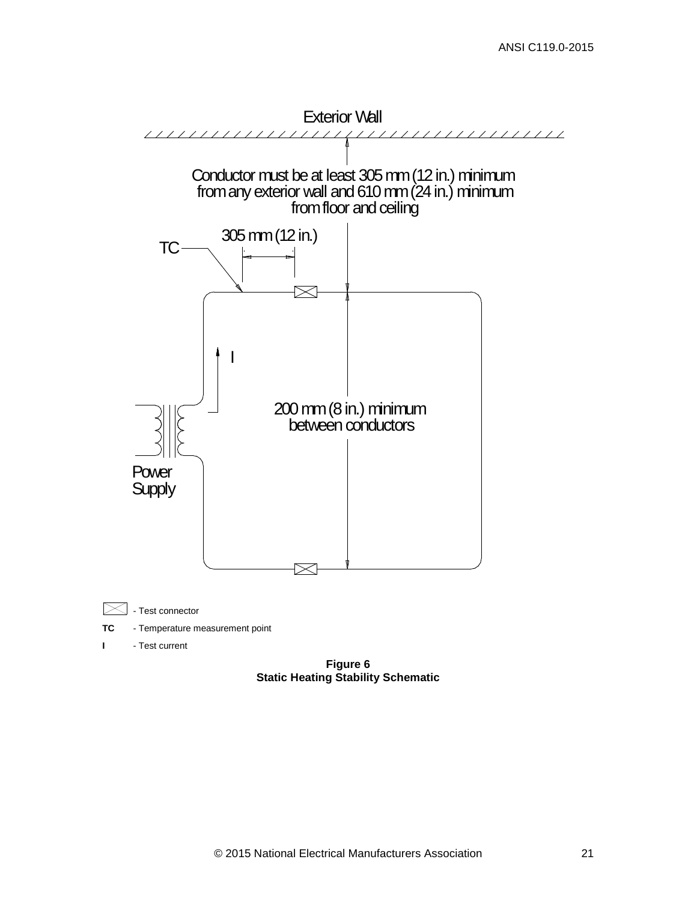

<span id="page-30-0"></span>**Figure 6 Static Heating Stability Schematic**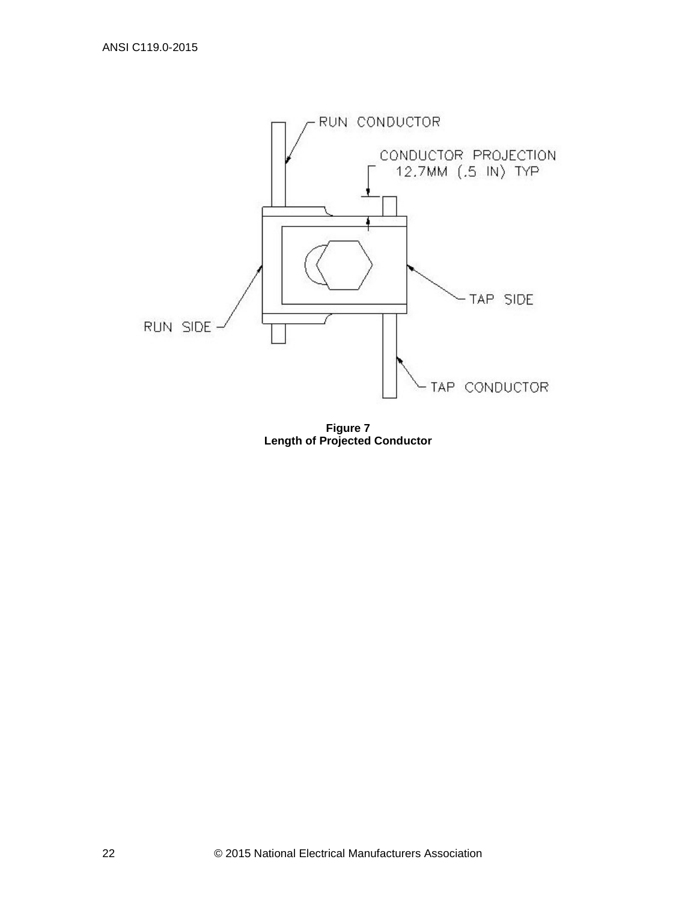<span id="page-31-0"></span>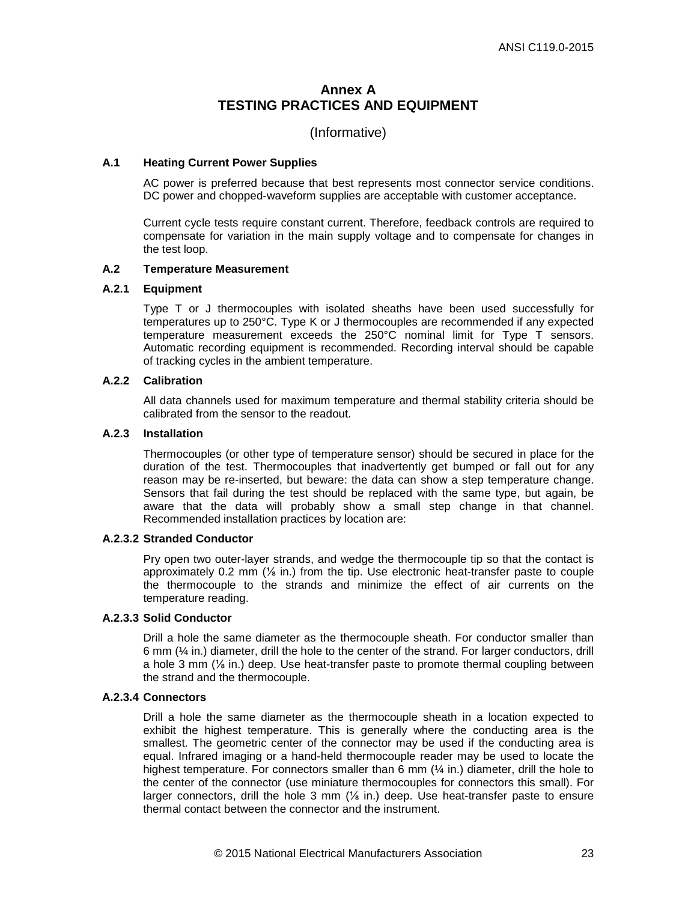## **Annex A TESTING PRACTICES AND EQUIPMENT**

## (Informative)

#### <span id="page-32-0"></span>**A.1 Heating Current Power Supplies**

AC power is preferred because that best represents most connector service conditions. DC power and chopped-waveform supplies are acceptable with customer acceptance.

Current cycle tests require constant current. Therefore, feedback controls are required to compensate for variation in the main supply voltage and to compensate for changes in the test loop.

#### **A.2 Temperature Measurement**

#### **A.2.1 Equipment**

Type T or J thermocouples with isolated sheaths have been used successfully for temperatures up to 250°C. Type K or J thermocouples are recommended if any expected temperature measurement exceeds the 250°C nominal limit for Type T sensors. Automatic recording equipment is recommended. Recording interval should be capable of tracking cycles in the ambient temperature.

#### **A.2.2 Calibration**

All data channels used for maximum temperature and thermal stability criteria should be calibrated from the sensor to the readout.

#### **A.2.3 Installation**

 Thermocouples (or other type of temperature sensor) should be secured in place for the duration of the test. Thermocouples that inadvertently get bumped or fall out for any reason may be re-inserted, but beware: the data can show a step temperature change. Sensors that fail during the test should be replaced with the same type, but again, be aware that the data will probably show a small step change in that channel. Recommended installation practices by location are:

#### **A.2.3.2 Stranded Conductor**

Pry open two outer-layer strands, and wedge the thermocouple tip so that the contact is approximately 0.2 mm (⅛ in.) from the tip. Use electronic heat-transfer paste to couple the thermocouple to the strands and minimize the effect of air currents on the temperature reading.

#### **A.2.3.3 Solid Conductor**

Drill a hole the same diameter as the thermocouple sheath. For conductor smaller than 6 mm (¼ in.) diameter, drill the hole to the center of the strand. For larger conductors, drill a hole 3 mm  $\frac{1}{6}$  in.) deep. Use heat-transfer paste to promote thermal coupling between the strand and the thermocouple.

### **A.2.3.4 Connectors**

Drill a hole the same diameter as the thermocouple sheath in a location expected to exhibit the highest temperature. This is generally where the conducting area is the smallest. The geometric center of the connector may be used if the conducting area is equal. Infrared imaging or a hand-held thermocouple reader may be used to locate the highest temperature. For connectors smaller than 6 mm (1/4 in.) diameter, drill the hole to the center of the connector (use miniature thermocouples for connectors this small). For larger connectors, drill the hole 3 mm  $(\frac{1}{6}$  in.) deep. Use heat-transfer paste to ensure thermal contact between the connector and the instrument.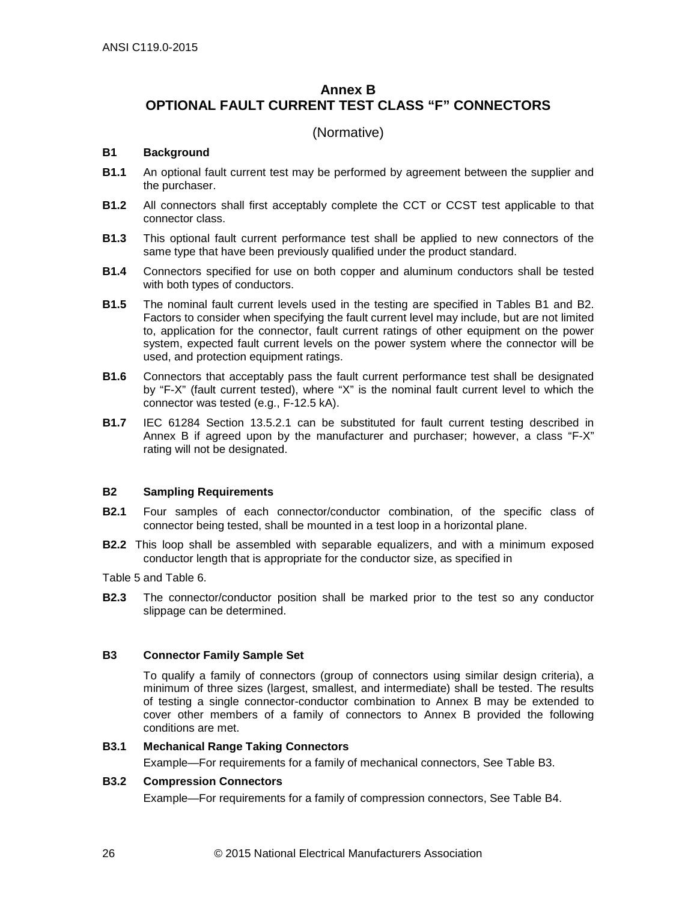## <span id="page-35-0"></span>**Annex B OPTIONAL FAULT CURRENT TEST CLASS "F" CONNECTORS**

## (Normative)

### **B1 Background**

- **B1.1** An optional fault current test may be performed by agreement between the supplier and the purchaser.
- **B1.2** All connectors shall first acceptably complete the CCT or CCST test applicable to that connector class.
- **B1.3** This optional fault current performance test shall be applied to new connectors of the same type that have been previously qualified under the product standard.
- **B1.4** Connectors specified for use on both copper and aluminum conductors shall be tested with both types of conductors.
- **B1.5** The nominal fault current levels used in the testing are specified in Tables B1 and B2. Factors to consider when specifying the fault current level may include, but are not limited to, application for the connector, fault current ratings of other equipment on the power system, expected fault current levels on the power system where the connector will be used, and protection equipment ratings.
- **B1.6** Connectors that acceptably pass the fault current performance test shall be designated by "F-X" (fault current tested), where "X" is the nominal fault current level to which the connector was tested (e.g., F-12.5 kA).
- **B1.7** IEC 61284 Section 13.5.2.1 can be substituted for fault current testing described in Annex B if agreed upon by the manufacturer and purchaser; however, a class "F-X" rating will not be designated.

## **B2 Sampling Requirements**

- **B2.1** Four samples of each connector/conductor combination, of the specific class of connector being tested, shall be mounted in a test loop in a horizontal plane.
- **B2.2** This loop shall be assembled with separable equalizers, and with a minimum exposed conductor length that is appropriate for the conductor size, as specified in

[Table 5](#page-21-3) and [Table 6.](#page-21-2)

**B2.3** The connector/conductor position shall be marked prior to the test so any conductor slippage can be determined.

## **B3 Connector Family Sample Set**

To qualify a family of connectors (group of connectors using similar design criteria), a minimum of three sizes (largest, smallest, and intermediate) shall be tested. The results of testing a single connector-conductor combination to Annex B may be extended to cover other members of a family of connectors to Annex B provided the following conditions are met.

#### **B3.1 Mechanical Range Taking Connectors**

Example—For requirements for a family of mechanical connectors, See Table B3.

## **B3.2 Compression Connectors**

Example—For requirements for a family of compression connectors, See Table B4.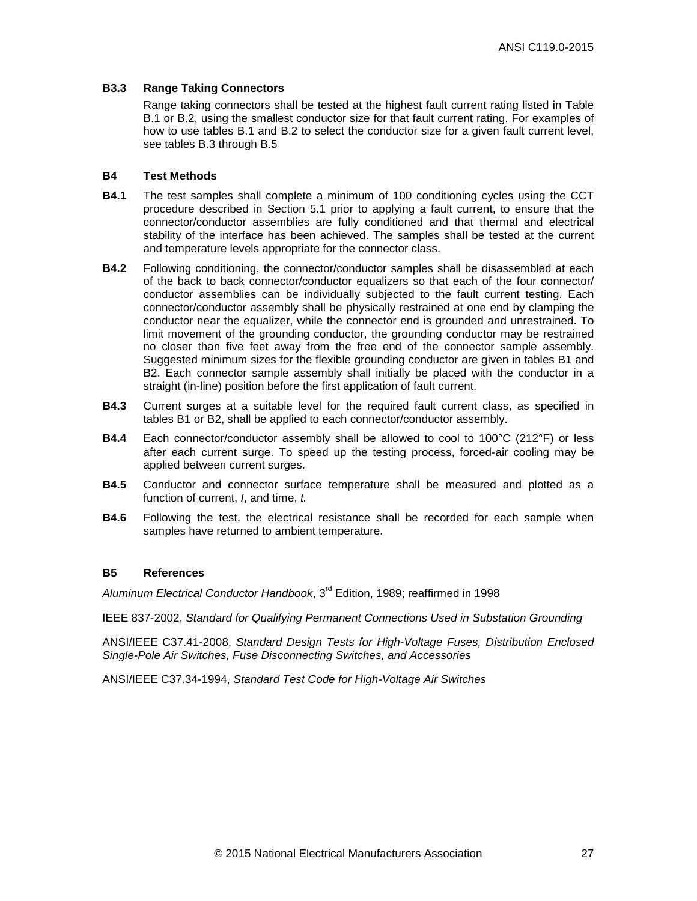### **B3.3 Range Taking Connectors**

Range taking connectors shall be tested at the highest fault current rating listed in Table B.1 or B.2, using the smallest conductor size for that fault current rating. For examples of how to use tables B.1 and B.2 to select the conductor size for a given fault current level, see tables B.3 through B.5

#### **B4 Test Methods**

- **B4.1** The test samples shall complete a minimum of 100 conditioning cycles using the CCT procedure described in Section [5.1](#page-12-7) prior to applying a fault current, to ensure that the connector/conductor assemblies are fully conditioned and that thermal and electrical stability of the interface has been achieved. The samples shall be tested at the current and temperature levels appropriate for the connector class.
- **B4.2** Following conditioning, the connector/conductor samples shall be disassembled at each of the back to back connector/conductor equalizers so that each of the four connector/ conductor assemblies can be individually subjected to the fault current testing. Each connector/conductor assembly shall be physically restrained at one end by clamping the conductor near the equalizer, while the connector end is grounded and unrestrained. To limit movement of the grounding conductor, the grounding conductor may be restrained no closer than five feet away from the free end of the connector sample assembly. Suggested minimum sizes for the flexible grounding conductor are given in tables B1 and B2. Each connector sample assembly shall initially be placed with the conductor in a straight (in-line) position before the first application of fault current.
- **B4.3** Current surges at a suitable level for the required fault current class, as specified in tables B1 or B2, shall be applied to each connector/conductor assembly.
- **B4.4** Each connector/conductor assembly shall be allowed to cool to 100°C (212°F) or less after each current surge. To speed up the testing process, forced-air cooling may be applied between current surges.
- **B4.5** Conductor and connector surface temperature shall be measured and plotted as a function of current, *I*, and time, *t.*
- **B4.6** Following the test, the electrical resistance shall be recorded for each sample when samples have returned to ambient temperature.

## **B5 References**

*Aluminum Electrical Conductor Handbook*, 3rd Edition, 1989; reaffirmed in 1998

IEEE 837-2002, *Standard for Qualifying Permanent Connections Used in Substation Grounding*

ANSI/IEEE C37.41-2008, *Standard Design Tests for High-Voltage Fuses, Distribution Enclosed Single-Pole Air Switches, Fuse Disconnecting Switches, and Accessories*

ANSI/IEEE C37.34-1994, *Standard Test Code for High-Voltage Air Switches*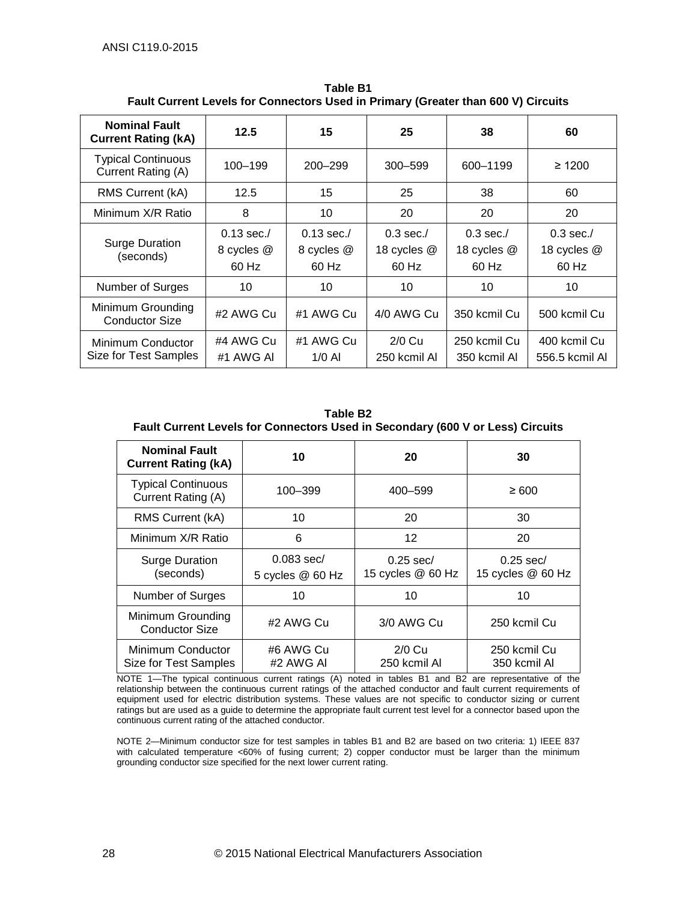| <b>Nominal Fault</b><br><b>Current Rating (kA)</b> | 12.5                                | 15                                  | 25                                  | 38                                  | 60                                  |
|----------------------------------------------------|-------------------------------------|-------------------------------------|-------------------------------------|-------------------------------------|-------------------------------------|
| <b>Typical Continuous</b><br>Current Rating (A)    | 100–199                             | 200–299                             | $300 - 599$                         | 600-1199                            | $\geq 1200$                         |
| RMS Current (kA)                                   | 12.5                                | 15                                  | 25                                  | 38                                  | 60                                  |
| Minimum X/R Ratio                                  | 8                                   | 10                                  | 20                                  | 20                                  | 20                                  |
| <b>Surge Duration</b><br>(seconds)                 | $0.13$ sec./<br>8 cycles @<br>60 Hz | $0.13$ sec./<br>8 cycles @<br>60 Hz | $0.3$ sec./<br>18 cycles @<br>60 Hz | $0.3$ sec./<br>18 cycles @<br>60 Hz | $0.3$ sec./<br>18 cycles @<br>60 Hz |
| Number of Surges                                   | 10                                  | 10                                  | 10                                  | 10                                  | 10                                  |
| Minimum Grounding<br><b>Conductor Size</b>         | #2 AWG Cu                           | #1 AWG Cu                           | 4/0 AWG Cu                          | 350 kcmil Cu                        | 500 kcmil Cu                        |
| Minimum Conductor<br>Size for Test Samples         | #4 AWG Cu<br>#1 AWG AI              | #1 AWG Cu<br>$1/0$ Al               | $2/0$ Cu<br>250 kcmil Al            | 250 kcmil Cu<br>350 kcmil Al        | 400 kcmil Cu<br>556.5 kcmil Al      |

**Table B1 Fault Current Levels for Connectors Used in Primary (Greater than 600 V) Circuits**

| <b>Table B2</b>                                                                |                                  |                                  |                                  |  |  |  |
|--------------------------------------------------------------------------------|----------------------------------|----------------------------------|----------------------------------|--|--|--|
| Fault Current Levels for Connectors Used in Secondary (600 V or Less) Circuits |                                  |                                  |                                  |  |  |  |
| <b>Nominal Fault</b><br><b>Current Rating (kA)</b>                             | 10                               | 20                               | 30                               |  |  |  |
| <b>Typical Continuous</b><br>Current Rating (A)                                | 100-399                          | 400 - 599                        | $\geq 600$                       |  |  |  |
| RMS Current (kA)                                                               | 10                               | 20                               | 30                               |  |  |  |
| Minimum X/R Ratio                                                              | 6                                | $12 \overline{ }$                | 20                               |  |  |  |
| <b>Surge Duration</b><br>(seconds)                                             | $0.083$ sec/<br>5 cycles @ 60 Hz | $0.25$ sec/<br>15 cycles @ 60 Hz | $0.25$ sec/<br>15 cycles @ 60 Hz |  |  |  |
| Number of Surges                                                               | 10                               | 10                               | 10                               |  |  |  |
| Minimum Grounding<br><b>Conductor Size</b>                                     | #2 AWG Cu                        | 3/0 AWG Cu                       | 250 kcmil Cu                     |  |  |  |
| Minimum Conductor<br>Size for Test Samples                                     | #6 AWG Cu<br>#2 AWG AI           | $2/0$ Cu<br>250 kcmil Al         | 250 kcmil Cu<br>350 kcmil Al     |  |  |  |

NOTE 1—The typical continuous current ratings (A) noted in tables B1 and B2 are representative of the relationship between the continuous current ratings of the attached conductor and fault current requirements of equipment used for electric distribution systems. These values are not specific to conductor sizing or current ratings but are used as a guide to determine the appropriate fault current test level for a connector based upon the continuous current rating of the attached conductor.

NOTE 2—Minimum conductor size for test samples in tables B1 and B2 are based on two criteria: 1) IEEE 837 with calculated temperature <60% of fusing current; 2) copper conductor must be larger than the minimum grounding conductor size specified for the next lower current rating.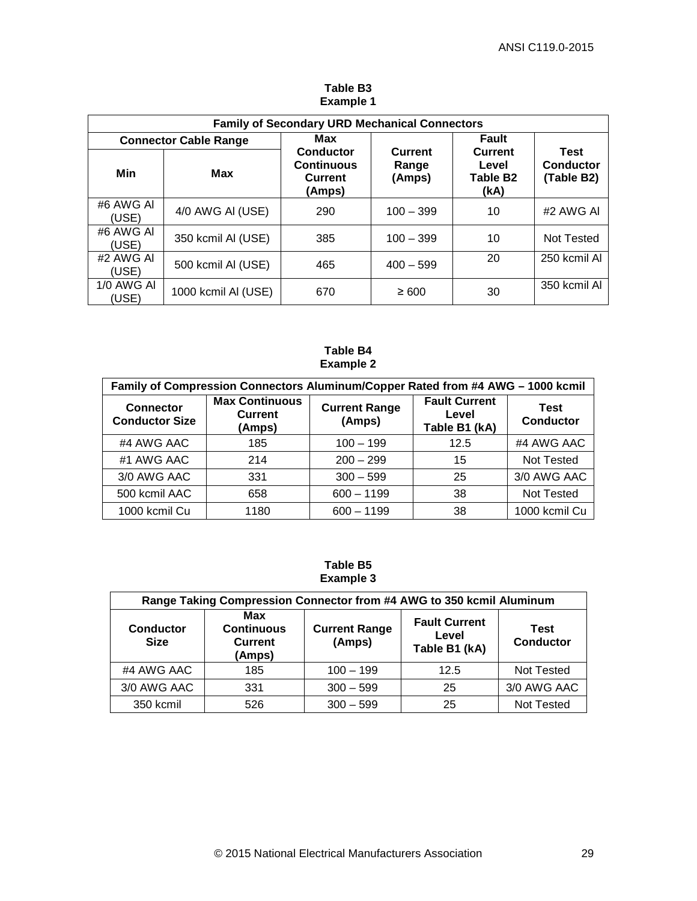| <b>Family of Secondary URD Mechanical Connectors</b> |                     |                                                                   |                                   |                                                         |                                        |
|------------------------------------------------------|---------------------|-------------------------------------------------------------------|-----------------------------------|---------------------------------------------------------|----------------------------------------|
| <b>Connector Cable Range</b>                         |                     | Max                                                               |                                   | <b>Fault</b>                                            |                                        |
| Min                                                  | Max                 | <b>Conductor</b><br><b>Continuous</b><br><b>Current</b><br>(Amps) | <b>Current</b><br>Range<br>(Amps) | <b>Current</b><br>Level<br>Table B <sub>2</sub><br>(kA) | <b>Test</b><br>Conductor<br>(Table B2) |
| #6 AWG AI<br>(USE)                                   | 4/0 AWG AI (USE)    | 290                                                               | $100 - 399$                       | 10                                                      | #2 AWG AI                              |
| #6 AWG AI<br>(USE)                                   | 350 kcmil AI (USE)  | 385                                                               | $100 - 399$                       | 10                                                      | <b>Not Tested</b>                      |
| #2 AWG AI<br>(USE)                                   | 500 kcmil AI (USE)  | 465                                                               | $400 - 599$                       | 20                                                      | 250 kcmil Al                           |
| 1/0 AWG AI<br>(USE)                                  | 1000 kcmil AI (USE) | 670                                                               | $\geq 600$                        | 30                                                      | 350 kcmil Al                           |

**Table B3 Example 1** 

#### **Table B4 Example 2**

| Family of Compression Connectors Aluminum/Copper Rated from #4 AWG - 1000 kcmil |                                                   |                                |                                                |                                 |  |
|---------------------------------------------------------------------------------|---------------------------------------------------|--------------------------------|------------------------------------------------|---------------------------------|--|
| <b>Connector</b><br><b>Conductor Size</b>                                       | <b>Max Continuous</b><br><b>Current</b><br>(Amps) | <b>Current Range</b><br>(Amps) | <b>Fault Current</b><br>Level<br>Table B1 (kA) | <b>Test</b><br><b>Conductor</b> |  |
| #4 AWG AAC                                                                      | 185                                               | $100 - 199$                    | 12.5                                           | #4 AWG AAC                      |  |
| #1 AWG AAC                                                                      | 214                                               | $200 - 299$                    | 15                                             | <b>Not Tested</b>               |  |
| 3/0 AWG AAC                                                                     | 331                                               | $300 - 599$                    | 25                                             | 3/0 AWG AAC                     |  |
| 500 kcmil AAC                                                                   | 658                                               | $600 - 1199$                   | 38                                             | <b>Not Tested</b>               |  |
| 1000 kcmil Cu                                                                   | 1180                                              | $600 - 1199$                   | 38                                             | 1000 kcmil Cu                   |  |

## **Table B5 Example 3**

| Range Taking Compression Connector from #4 AWG to 350 kcmil Aluminum |                                                      |                                |                                                |                          |  |
|----------------------------------------------------------------------|------------------------------------------------------|--------------------------------|------------------------------------------------|--------------------------|--|
| <b>Conductor</b><br><b>Size</b>                                      | Max<br><b>Continuous</b><br><b>Current</b><br>(Amps) | <b>Current Range</b><br>(Amps) | <b>Fault Current</b><br>Level<br>Table B1 (kA) | Test<br><b>Conductor</b> |  |
| #4 AWG AAC                                                           | 185                                                  | $100 - 199$                    | 12.5                                           | <b>Not Tested</b>        |  |
| 3/0 AWG AAC                                                          | 331                                                  | $300 - 599$                    | 25                                             | 3/0 AWG AAC              |  |
| 350 kcmil                                                            | 526                                                  | $300 - 599$                    | 25                                             | <b>Not Tested</b>        |  |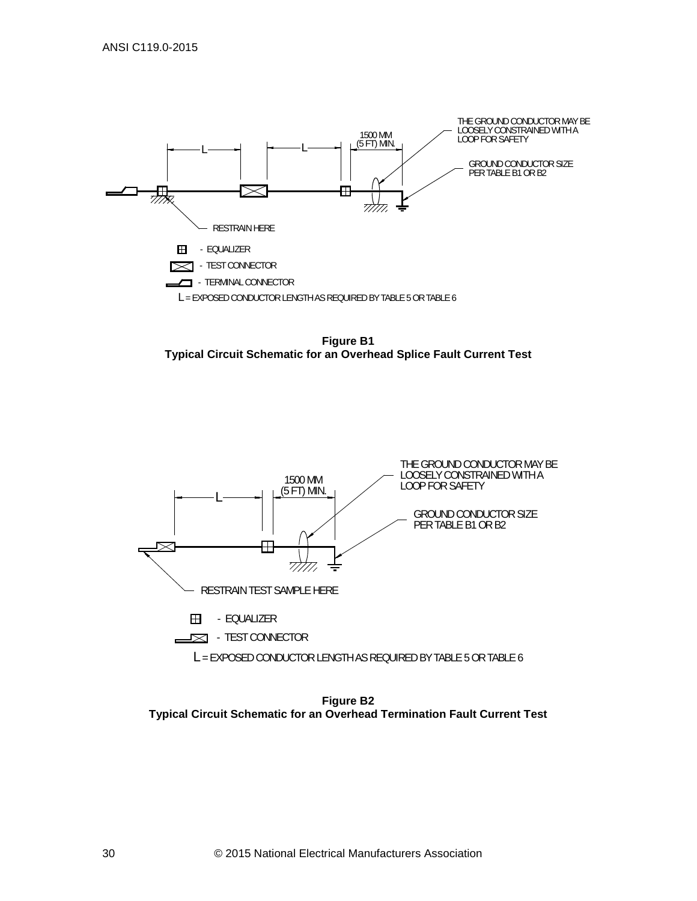

**Figure B1 Typical Circuit Schematic for an Overhead Splice Fault Current Test**



**Figure B2 Typical Circuit Schematic for an Overhead Termination Fault Current Test**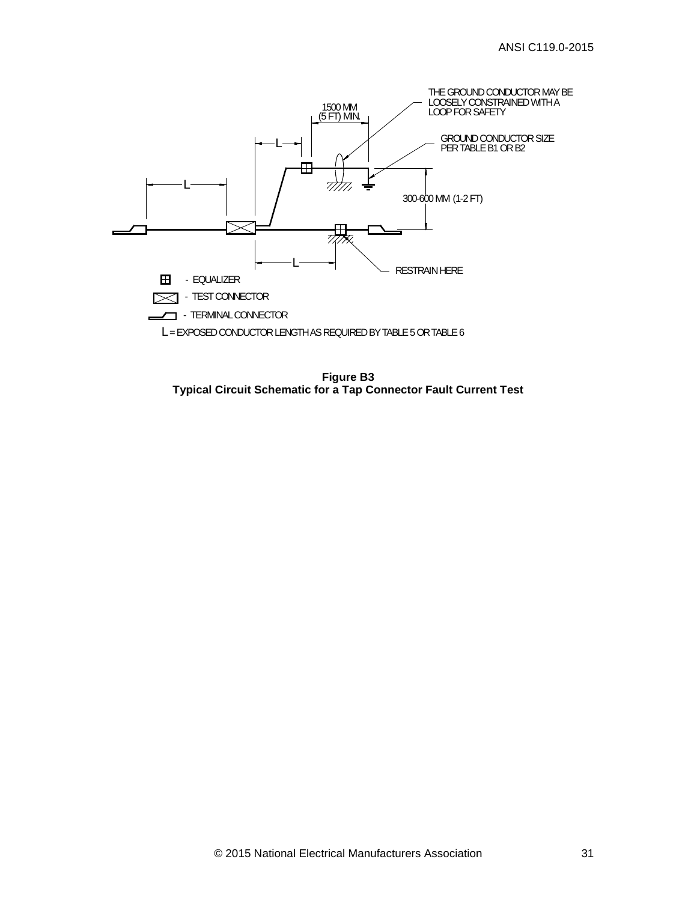

**Figure B3 Typical Circuit Schematic for a Tap Connector Fault Current Test**

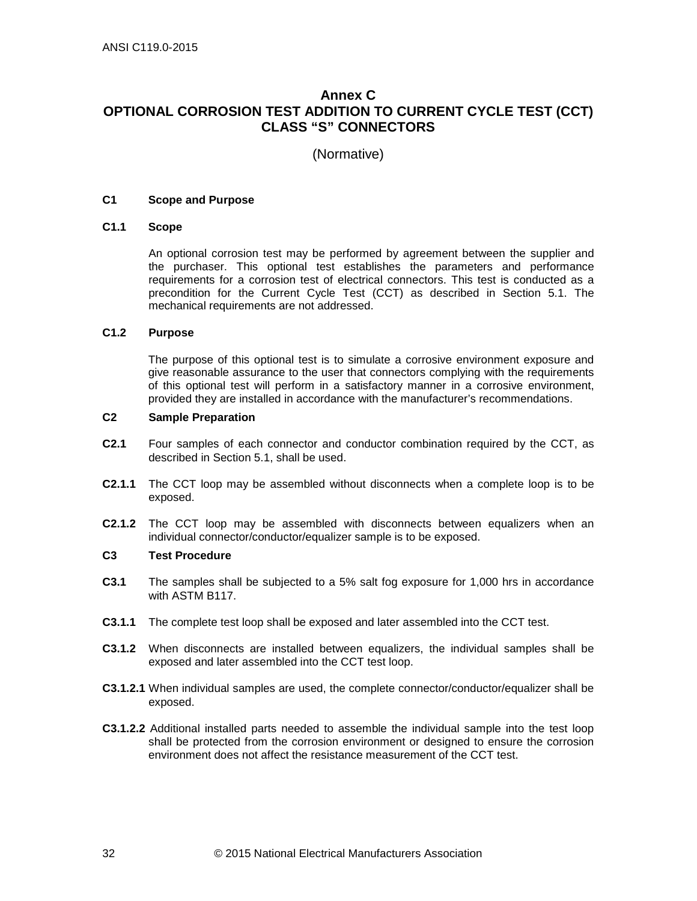## <span id="page-41-0"></span>**Annex C OPTIONAL CORROSION TEST ADDITION TO CURRENT CYCLE TEST (CCT) CLASS "S" CONNECTORS**

(Normative)

## **C1 Scope and Purpose**

#### **C1.1 Scope**

An optional corrosion test may be performed by agreement between the supplier and the purchaser. This optional test establishes the parameters and performance requirements for a corrosion test of electrical connectors. This test is conducted as a precondition for the Current Cycle Test (CCT) as described in Section [5.1.](#page-12-7) The mechanical requirements are not addressed.

## **C1.2 Purpose**

The purpose of this optional test is to simulate a corrosive environment exposure and give reasonable assurance to the user that connectors complying with the requirements of this optional test will perform in a satisfactory manner in a corrosive environment, provided they are installed in accordance with the manufacturer's recommendations.

#### **C2 Sample Preparation**

- **C2.1** Four samples of each connector and conductor combination required by the CCT, as described in Section [5.1,](#page-12-7) shall be used.
- **C2.1.1** The CCT loop may be assembled without disconnects when a complete loop is to be exposed.
- **C2.1.2** The CCT loop may be assembled with disconnects between equalizers when an individual connector/conductor/equalizer sample is to be exposed.

#### **C3 Test Procedure**

- **C3.1** The samples shall be subjected to a 5% salt fog exposure for 1,000 hrs in accordance with ASTM B117.
- **C3.1.1** The complete test loop shall be exposed and later assembled into the CCT test.
- **C3.1.2** When disconnects are installed between equalizers, the individual samples shall be exposed and later assembled into the CCT test loop.
- **C3.1.2.1** When individual samples are used, the complete connector/conductor/equalizer shall be exposed.
- **C3.1.2.2** Additional installed parts needed to assemble the individual sample into the test loop shall be protected from the corrosion environment or designed to ensure the corrosion environment does not affect the resistance measurement of the CCT test.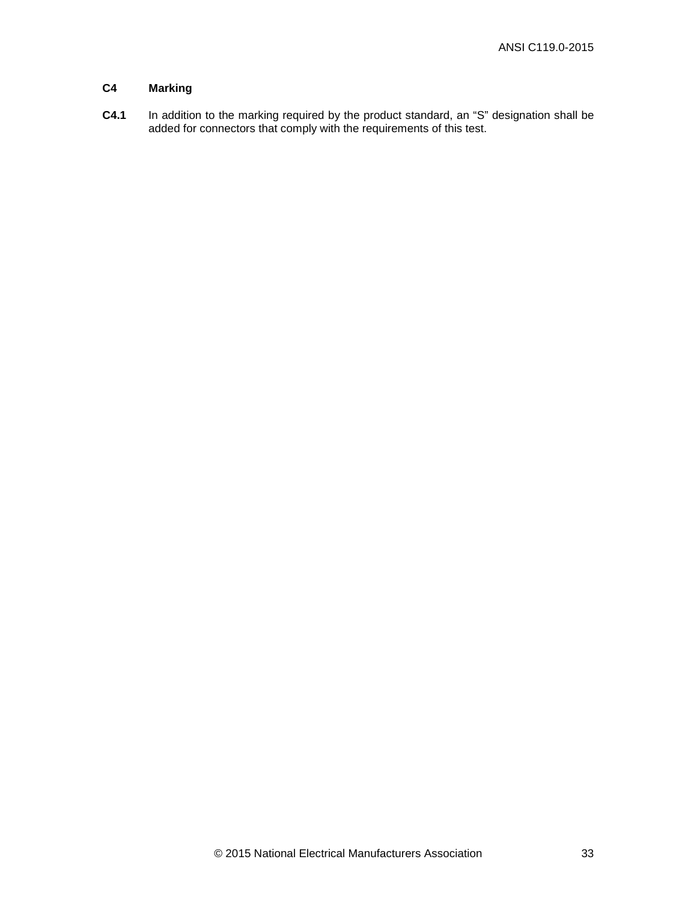## **C4 Marking**

**C4.1** In addition to the marking required by the product standard, an "S" designation shall be added for connectors that comply with the requirements of this test.